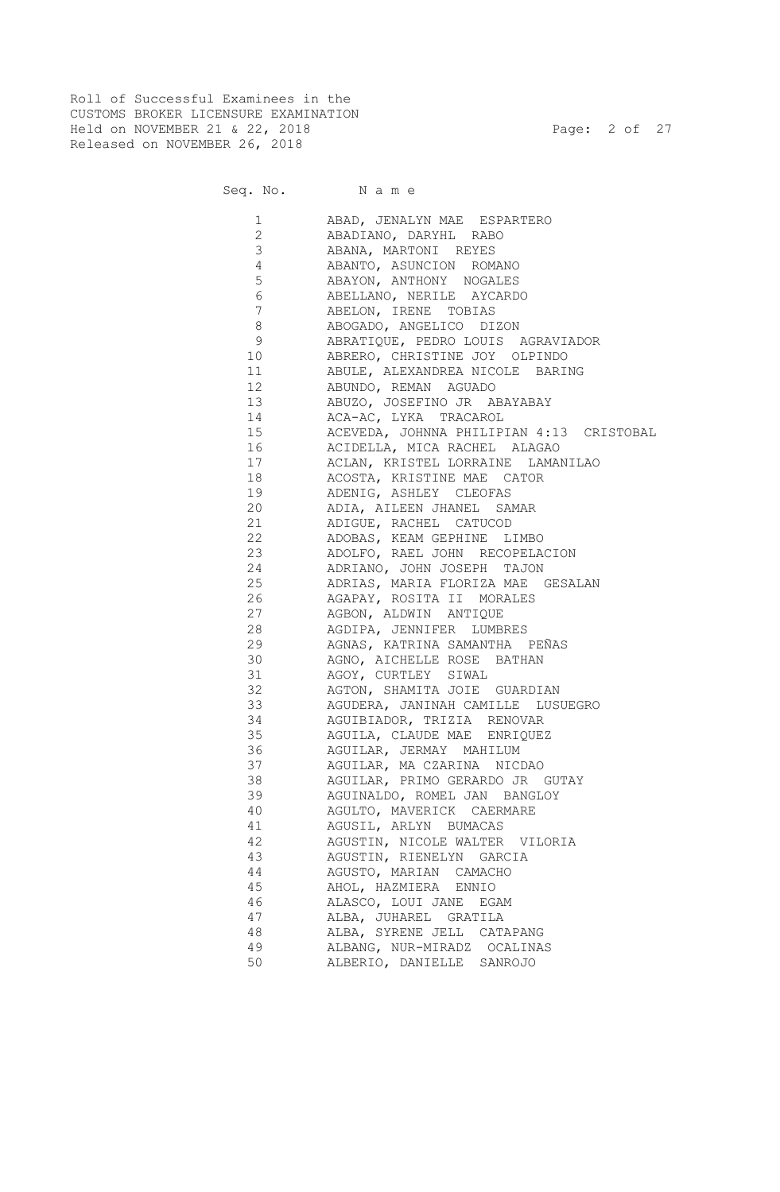Roll of Successful Examinees in the CUSTOMS BROKER LICENSURE EXAMINATION Held on NOVEMBER 21 & 22, 2018 Page: 2 of 27 Released on NOVEMBER 26, 2018

|                 | Seq. No. Name                            |
|-----------------|------------------------------------------|
| 1               | ABAD, JENALYN MAE ESPARTERO              |
| $\overline{2}$  | ABADIANO, DARYHL RABO                    |
| 3               | ABANA, MARTONI REYES                     |
| $\overline{4}$  | ABANTO, ASUNCION ROMANO                  |
| 5               | ABAYON, ANTHONY NOGALES                  |
| $\epsilon$      | ABELLANO, NERILE AYCARDO                 |
| $\overline{7}$  | ABELON, IRENE TOBIAS                     |
| $\,8\,$         | ABOGADO, ANGELICO DIZON                  |
| 9               | ABRATIQUE, PEDRO LOUIS AGRAVIADOR        |
| 10              | ABRERO, CHRISTINE JOY OLPINDO            |
| 11              | ABULE, ALEXANDREA NICOLE BARING          |
| 12 <sup>°</sup> | ABUNDO, REMAN AGUADO                     |
| 13              | ABUZO, JOSEFINO JR ABAYABAY              |
| 14              | ACA-AC, LYKA TRACAROL                    |
| 15              | ACEVEDA, JOHNNA PHILIPIAN 4:13 CRISTOBAL |
| 16              | ACIDELLA, MICA RACHEL ALAGAO             |
| 17              | ACLAN, KRISTEL LORRAINE LAMANILAO        |
| 18              | ACOSTA, KRISTINE MAE CATOR               |
| 19              | ADENIG, ASHLEY CLEOFAS                   |
| 20              | ADIA, AILEEN JHANEL SAMAR                |
| 21              | ADIGUE, RACHEL CATUCOD                   |
| 22              | ADOBAS, KEAM GEPHINE LIMBO               |
| 23              | ADOLFO, RAEL JOHN RECOPELACION           |
| 24              | ADRIANO, JOHN JOSEPH TAJON               |
| 25              | ADRIAS, MARIA FLORIZA MAE GESALAN        |
| 26              | AGAPAY, ROSITA II MORALES                |
| 27              | AGBON, ALDWIN ANTIQUE                    |
| 28              | AGDIPA, JENNIFER LUMBRES                 |
| 29              | AGNAS, KATRINA SAMANTHA PEÑAS            |
| 30              | AGNO, AICHELLE ROSE BATHAN               |
| 31              | AGOY, CURTLEY SIWAL                      |
| 32              | AGTON, SHAMITA JOIE GUARDIAN             |
| 33              | AGUDERA, JANINAH CAMILLE LUSUEGRO        |
| 34              | AGUIBIADOR, TRIZIA RENOVAR               |
| 35              | AGUILA, CLAUDE MAE ENRIQUEZ              |
| 36              | AGUILAR, JERMAY MAHILUM                  |
| 37              | AGUILAR, MA CZARINA NICDAO               |
| 38              | AGUILAR, PRIMO GERARDO JR GUTAY          |
| 39              | AGUINALDO, ROMEL JAN BANGLOY             |
| 40              | AGULTO, MAVERICK CAERMARE                |
| 41              | AGUSIL, ARLYN BUMACAS                    |
| 42              | AGUSTIN, NICOLE WALTER VILORIA           |
| 43              | AGUSTIN, RIENELYN GARCIA                 |
| 44              | AGUSTO, MARIAN CAMACHO                   |
| 45              | AHOL, HAZMIERA ENNIO                     |
| 46              | ALASCO, LOUI JANE EGAM                   |
| 47              | ALBA, JUHAREL GRATILA                    |
| 48              | ALBA, SYRENE JELL CATAPANG               |
| 49              | ALBANG, NUR-MIRADZ OCALINAS              |

50 ALBERIO, DANIELLE SANROJO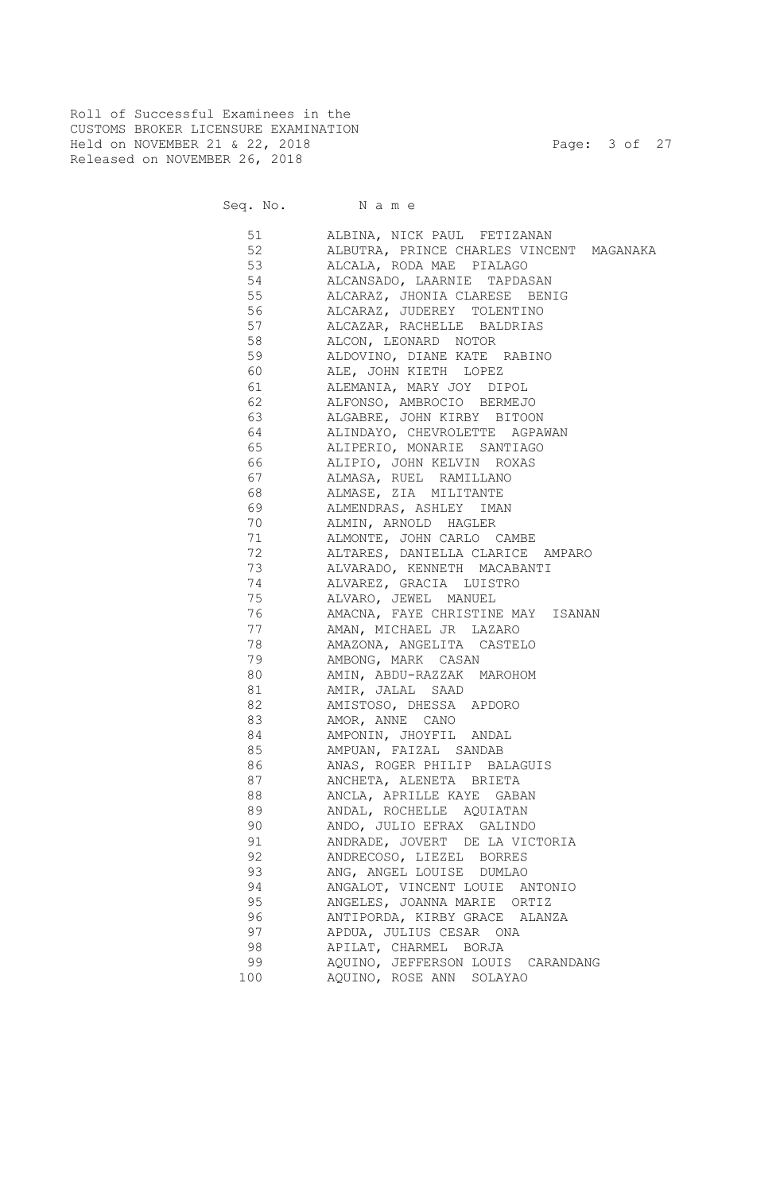Roll of Successful Examinees in the CUSTOMS BROKER LICENSURE EXAMINATION Held on NOVEMBER 21 & 22, 2018 Page: 3 of 27 Released on NOVEMBER 26, 2018

Seq. No. Name

 51 ALBINA, NICK PAUL FETIZANAN 52 ALBUTRA, PRINCE CHARLES VINCENT MAGANAKA 53 ALCALA, RODA MAE PIALAGO 54 ALCANSADO, LAARNIE TAPDASAN 55 ALCARAZ, JHONIA CLARESE BENIG 56 ALCARAZ, JUDEREY TOLENTINO 57 ALCAZAR, RACHELLE BALDRIAS 58 ALCON, LEONARD NOTOR 59 ALDOVINO, DIANE KATE RABINO 60 ALE, JOHN KIETH LOPEZ 61 ALEMANIA, MARY JOY DIPOL 62 ALFONSO, AMBROCIO BERMEJO 63 ALGABRE, JOHN KIRBY BITOON 64 ALINDAYO, CHEVROLETTE AGPAWAN 65 ALIPERIO, MONARIE SANTIAGO 66 ALIPIO, JOHN KELVIN ROXAS 67 ALMASA, RUEL RAMILLANO 68 ALMASE, ZIA MILITANTE 69 ALMENDRAS, ASHLEY IMAN 70 ALMIN, ARNOLD HAGLER 71 ALMONTE, JOHN CARLO CAMBE 72 ALTARES, DANIELLA CLARICE AMPARO 73 ALVARADO, KENNETH MACABANTI 74 ALVAREZ, GRACIA LUISTRO 75 ALVARO, JEWEL MANUEL 76 AMACNA, FAYE CHRISTINE MAY ISANAN 77 AMAN, MICHAEL JR LAZARO 78 AMAZONA, ANGELITA CASTELO 79 AMBONG, MARK CASAN 80 AMIN, ABDU-RAZZAK MAROHOM 81 AMIR, JALAL SAAD 82 AMISTOSO, DHESSA APDORO 83 AMOR, ANNE CANO 84 AMPONIN, JHOYFIL ANDAL 85 AMPUAN, FAIZAL SANDAB 86 ANAS, ROGER PHILIP BALAGUIS 87 ANCHETA, ALENETA BRIETA 88 ANCLA, APRILLE KAYE GABAN 89 ANDAL, ROCHELLE AQUIATAN 90 ANDO, JULIO EFRAX GALINDO 91 ANDRADE, JOVERT DE LA VICTORIA 92 ANDRECOSO, LIEZEL BORRES 93 ANG, ANGEL LOUISE DUMLAO 94 ANGALOT, VINCENT LOUIE ANTONIO 95 ANGELES, JOANNA MARIE ORTIZ 96 ANTIPORDA, KIRBY GRACE ALANZA 97 APDUA, JULIUS CESAR ONA 98 APILAT, CHARMEL BORJA 99 AQUINO, JEFFERSON LOUIS CARANDANG 100 AQUINO, ROSE ANN SOLAYAO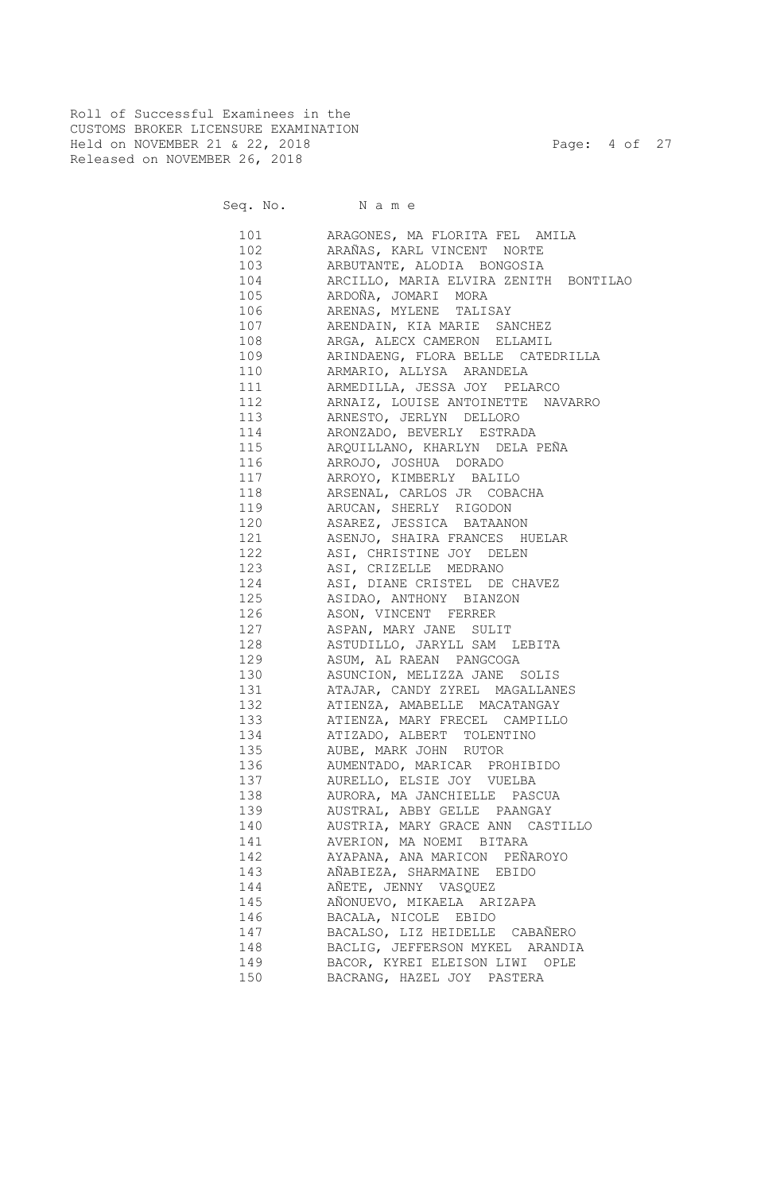Roll of Successful Examinees in the CUSTOMS BROKER LICENSURE EXAMINATION Held on NOVEMBER 21 & 22, 2018 Page: 4 of 27 Released on NOVEMBER 26, 2018

| 101 \  | ARAGONES, MA FLORITA FEL AMILA                            |
|--------|-----------------------------------------------------------|
| 102    | ARAÑAS, KARL VINCENT NORTE                                |
| 103    | ARBUTANTE, ALODIA BONGOSIA                                |
| 104    | ARCILLO, MARIA ELVIRA ZENITH BONTILAO                     |
| 105    | ARDOÑA, JOMARI MORA                                       |
| 106    | ARENAS, MYLENE TALISAY                                    |
| 107    | ARENDAIN, KIA MARIE<br>SANCHEZ                            |
| 108    | ARGA, ALECX CAMERON ELLAMIL                               |
| 109    | ARINDAENG, FLORA BELLE CATEDRILLA                         |
| 110    | ARMARIO, ALLYSA ARANDELA                                  |
| 111 \, | ARMEDILLA, JESSA JOY PELARCO                              |
| 112    | ARNAIZ, LOUISE ANTOINETTE NAVARRO                         |
| 113    | ARNESTO, JERLYN DELLORO                                   |
| 114    | ARONZADO, BEVERLY ESTRADA                                 |
| 115    | ARQUILLANO, KHARLYN DELA PEÑA                             |
| 116    | ARROJO, JOSHUA DORADO                                     |
| 117    | ARROYO, KIMBERLY BALILO                                   |
| 118    | ARSENAL, CARLOS JR COBACHA                                |
| 119    | ARUCAN, SHERLY RIGODON                                    |
| 120    | ASAREZ, JESSICA BATAANON                                  |
| 121    | ASENJO, SHAIRA FRANCES HUELAR                             |
| 122    | ASI, CHRISTINE JOY DELEN                                  |
| 123    | ASI, CRIZELLE MEDRANO                                     |
| 124    | ASI, DIANE CRISTEL DE CHAVEZ                              |
| 125    | ASIDAO, ANTHONY BIANZON                                   |
| 126    | ASON, VINCENT FERRER                                      |
| 127    | ASPAN, MARY JANE SULIT                                    |
| 128    | ASTUDILLO, JARYLL SAM LEBITA                              |
| 129    | ASUM, AL RAEAN PANGCOGA                                   |
| 130    | ASUNCION, MELIZZA JANE SOLIS                              |
| 131    | ATAJAR, CANDY ZYREL MAGALLANES                            |
| 132    | ATIENZA, AMABELLE MACATANGAY                              |
| 133    | ATIENZA, MARY FRECEL CAMPILLO                             |
| 134    | ATIZADO, ALBERT TOLENTINO                                 |
| 135    | AUBE, MARK JOHN RUTOR                                     |
| 136    |                                                           |
| 137    | AUMENTADO, MARICAR PROHIBIDO<br>AURELLO, ELSIE JOY VUELBA |
|        |                                                           |
| 138    | AURORA, MA JANCHIELLE PASCUA                              |
| 139    | AUSTRAL, ABBY GELLE PAANGAY                               |
| 140    | AUSTRIA, MARY GRACE ANN CASTILLO                          |
| 141    | AVERION, MA NOEMI BITARA                                  |
| 142    | AYAPANA, ANA MARICON PEÑAROYO                             |
| 143    | AÑABIEZA, SHARMAINE EBIDO                                 |
| 144    | AÑETE, JENNY VASQUEZ                                      |
| 145    | AÑONUEVO, MIKAELA ARIZAPA                                 |
| 146    | BACALA, NICOLE EBIDO                                      |
| 147    | BACALSO, LIZ HEIDELLE CABAÑERO                            |
| 148    | BACLIG, JEFFERSON MYKEL ARANDIA                           |
| 149    | BACOR, KYREI ELEISON LIWI OPLE                            |
| 150    | BACRANG, HAZEL JOY PASTERA                                |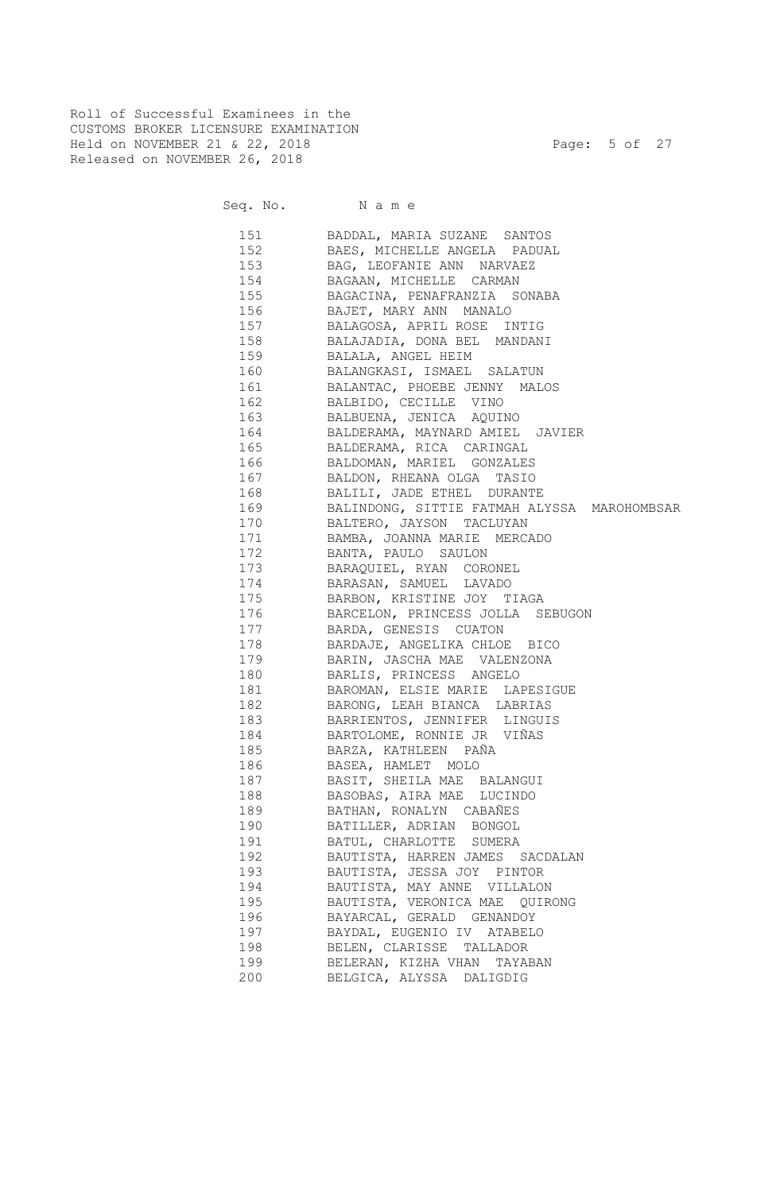Roll of Successful Examinees in the CUSTOMS BROKER LICENSURE EXAMINATION Held on NOVEMBER 21 & 22, 2018 Page: 5 of 27 Released on NOVEMBER 26, 2018

|     | 151 BADDAL, MARIA SUZANE SANTOS                 |
|-----|-------------------------------------------------|
|     | 152 BAES, MICHELLE ANGELA PADUAL                |
|     | 153 BAG, LEOFANIE ANN NARVAEZ                   |
|     | 154 BAGAAN, MICHELLE CARMAN                     |
|     | 155 BAGACINA, PENAFRANZIA SONABA                |
|     | 156 BAJET, MARY ANN MANALO                      |
|     | 157 BALAGOSA, APRIL ROSE INTIG                  |
|     | 158 BALAJADIA, DONA BEL MANDANI                 |
|     | 159 BALALA, ANGEL HEIM                          |
|     | 160 BALANGKASI, ISMAEL SALATUN                  |
|     | 161 BALANTAC, PHOEBE JENNY MALOS                |
|     | 162 BALBIDO, CECILLE VINO                       |
|     | 163 BALBUENA, JENICA AQUINO                     |
|     | 164 BALDERAMA, MAYNARD AMIEL JAVIER             |
|     | 165 BALDERAMA, RICA CARINGAL                    |
|     | 166 BALDOMAN, MARIEL GONZALES                   |
|     | 167 BALDON, RHEANA OLGA TASIO                   |
|     | 168 BALILI, JADE ETHEL DURANTE                  |
|     | 169 BALINDONG, SITTIE FATMAH ALYSSA MAROHOMBSAR |
|     | 170 BALTERO, JAYSON TACLUYAN                    |
|     | 171 BAMBA, JOANNA MARIE MERCADO                 |
|     | 172 BANTA, PAULO SAULON                         |
|     | 173 BARAQUIEL, RYAN CORONEL                     |
| 174 | BARASAN, SAMUEL LAVADO                          |
|     | 175 BARBON, KRISTINE JOY TIAGA                  |
| 176 | BARCELON, PRINCESS JOLLA SEBUGON                |
| 177 | BARDA, GENESIS CUATON                           |
| 178 | BARDAJE, ANGELIKA CHLOE BICO                    |
| 179 | BARIN, JASCHA MAE VALENZONA                     |
| 180 | BARLIS, PRINCESS ANGELO                         |
| 181 | BAROMAN, ELSIE MARIE LAPESIGUE                  |
| 182 | BARONG, LEAH BIANCA LABRIAS                     |
| 183 | BARRIENTOS, JENNIFER LINGUIS                    |
| 184 | BARTOLOME, RONNIE JR VIÑAS                      |
| 185 | BARZA, KATHLEEN PAÑA                            |
| 186 | BASEA, HAMLET MOLO                              |
| 187 | BASIT, SHEILA MAE BALANGUI                      |
| 188 | BASOBAS, AIRA MAE LUCINDO                       |
| 189 | BATHAN, RONALYN CABAÑES                         |
| 190 | BATILLER, ADRIAN BONGOL                         |
| 191 | BATUL, CHARLOTTE SUMERA                         |
| 192 | BAUTISTA, HARREN JAMES SACDALAN                 |
| 193 | BAUTISTA, JESSA JOY PINTOR                      |
| 194 | BAUTISTA, MAY ANNE VILLALON                     |
| 195 | BAUTISTA, VERONICA MAE QUIRONG                  |
| 196 | BAYARCAL, GERALD GENANDOY                       |
| 197 | BAYDAL, EUGENIO IV ATABELO                      |
| 198 | BELEN, CLARISSE TALLADOR                        |
| 199 | BELERAN, KIZHA VHAN TAYABAN                     |
| 200 | BELGICA, ALYSSA DALIGDIG                        |
|     |                                                 |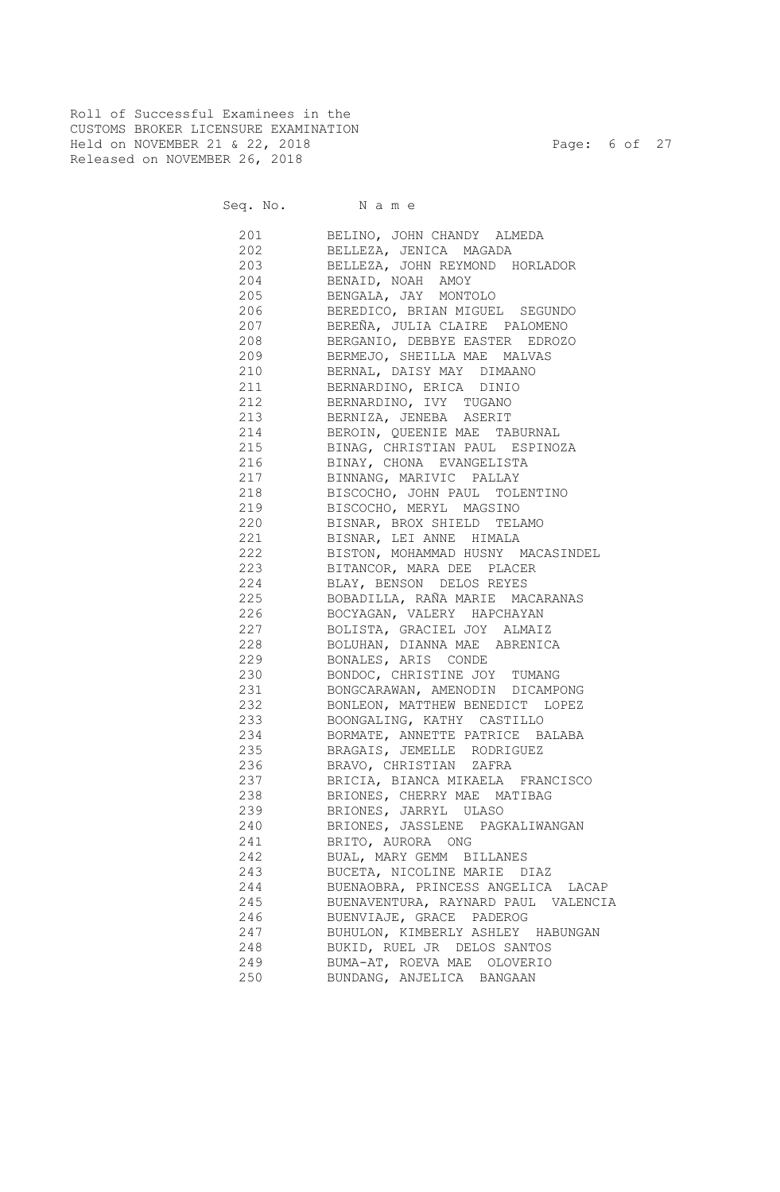Roll of Successful Examinees in the CUSTOMS BROKER LICENSURE EXAMINATION Held on NOVEMBER 21 & 22, 2018 Page: 6 of 27 Released on NOVEMBER 26, 2018

| 201        | BELINO, JOHN CHANDY ALMEDA          |
|------------|-------------------------------------|
|            | 202 BELLEZA, JENICA MAGADA          |
|            | 203 BELLEZA, JOHN REYMOND HORLADOR  |
|            | 204 BENAID, NOAH AMOY               |
|            | 205 BENGALA, JAY MONTOLO            |
| 206        | BEREDICO, BRIAN MIGUEL SEGUNDO      |
| 207        | BEREÑA, JULIA CLAIRE PALOMENO       |
|            | 208 BERGANIO, DEBBYE EASTER EDROZO  |
| 209        | BERMEJO, SHEILLA MAE MALVAS         |
| 210        | BERNAL, DAISY MAY DIMAANO           |
| 211 / 2020 | BERNARDINO, ERICA DINIO             |
| 212        | BERNARDINO, IVY TUGANO              |
|            | 213 BERNIZA, JENEBA ASERIT          |
|            | 214 BEROIN, QUEENIE MAE TABURNAL    |
|            | 215 BINAG, CHRISTIAN PAUL ESPINOZA  |
| 216        | BINAY, CHONA EVANGELISTA            |
| 217        | BINNANG, MARIVIC PALLAY             |
| 218        | BISCOCHO, JOHN PAUL TOLENTINO       |
| 219        | BISCOCHO, MERYL MAGSINO             |
| 220        | BISNAR, BROX SHIELD TELAMO          |
| 221        | BISNAR, LEI ANNE HIMALA             |
| 222        | BISTON, MOHAMMAD HUSNY MACASINDEL   |
| 223        | BITANCOR, MARA DEE PLACER           |
| 224        | BLAY, BENSON DELOS REYES            |
| 225        | BOBADILLA, RAÑA MARIE MACARANAS     |
| 226        | BOCYAGAN, VALERY HAPCHAYAN          |
| 227        | BOLISTA, GRACIEL JOY ALMAIZ         |
| 228        | BOLUHAN, DIANNA MAE ABRENICA        |
| 229        | BONALES, ARIS CONDE                 |
| 230        | BONDOC, CHRISTINE JOY TUMANG        |
| 231        | BONGCARAWAN, AMENODIN DICAMPONG     |
| 232        | BONLEON, MATTHEW BENEDICT LOPEZ     |
| 233        | BOONGALING, KATHY CASTILLO          |
| 234        | BORMATE, ANNETTE PATRICE BALABA     |
| 235        | BRAGAIS, JEMELLE RODRIGUEZ          |
| 236        | BRAVO, CHRISTIAN ZAFRA              |
| 237        | BRICIA, BIANCA MIKAELA FRANCISCO    |
| 238        | BRIONES, CHERRY MAE MATIBAG         |
| 239        | BRIONES, JARRYL ULASO               |
| 240        | BRIONES, JASSLENE PAGKALIWANGAN     |
| 241        | BRITO, AURORA ONG                   |
| 242        | BUAL, MARY GEMM BILLANES            |
| 243        | BUCETA, NICOLINE MARIE DIAZ         |
| 244        | BUENAOBRA, PRINCESS ANGELICA LACAP  |
| 245        | BUENAVENTURA, RAYNARD PAUL VALENCIA |
| 246        | BUENVIAJE, GRACE PADEROG            |
| 247        | BUHULON, KIMBERLY ASHLEY HABUNGAN   |
| 248        | BUKID, RUEL JR DELOS SANTOS         |
| 249        | BUMA-AT, ROEVA MAE OLOVERIO         |
| 250        | BUNDANG, ANJELICA BANGAAN           |
|            |                                     |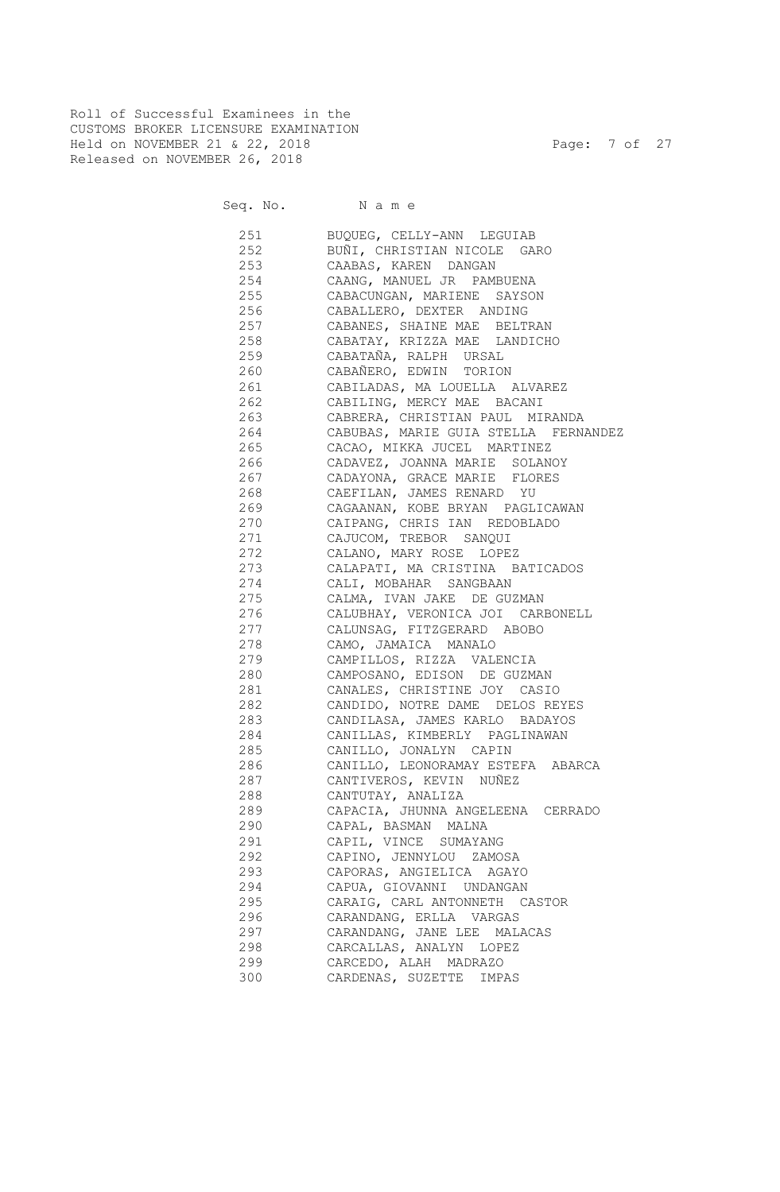Roll of Successful Examinees in the CUSTOMS BROKER LICENSURE EXAMINATION Held on NOVEMBER 21 & 22, 2018 Page: 7 of 27 Released on NOVEMBER 26, 2018

| 251 | BUQUEG, CELLY-ANN LEGUIAB                              |
|-----|--------------------------------------------------------|
| 252 | BUÑI, CHRISTIAN NICOLE GARO                            |
| 253 | CAABAS, KAREN DANGAN                                   |
| 254 | CAANG, MANUEL JR PAMBUENA                              |
| 255 | CABACUNGAN, MARIENE SAYSON                             |
| 256 | CABALLERO, DEXTER ANDING                               |
| 257 | CABANES, SHAINE MAE BELTRAN                            |
| 258 | CABATAY, KRIZZA MAE LANDICHO                           |
| 259 | CABATAÑA, RALPH URSAL                                  |
| 260 | CABAÑERO, EDWIN TORION                                 |
| 261 | CABILADAS, MA LOUELLA ALVAREZ                          |
| 262 | CABILING, MERCY MAE BACANI                             |
| 263 | CABRERA, CHRISTIAN PAUL MIRANDA                        |
| 264 | CABUBAS, MARIE GUIA STELLA FERNANDEZ                   |
| 265 | CACAO, MIKKA JUCEL MARTINEZ                            |
| 266 | CADAVEZ, JOANNA MARIE SOLANOY                          |
| 267 | CADAYONA, GRACE MARIE FLORES                           |
| 268 | CAEFILAN, JAMES RENARD YU                              |
| 269 | CAGAANAN, KOBE BRYAN PAGLICAWAN                        |
| 270 | CAIPANG, CHRIS IAN REDOBLADO                           |
| 271 | CAJUCOM, TREBOR SANQUI                                 |
| 272 | CALANO, MARY ROSE LOPEZ                                |
| 273 | CALAPATI, MA CRISTINA BATICADOS                        |
| 274 | CALI, MOBAHAR SANGBAAN                                 |
| 275 | CALMA, IVAN JAKE DE GUZMAN                             |
| 276 | CALUBHAY, VERONICA JOI CARBONELL                       |
| 277 | CALUNSAG, FITZGERARD ABOBO                             |
| 278 | CAMO, JAMAICA MANALO                                   |
| 279 | CAMPILLOS, RIZZA VALENCIA                              |
| 280 | CAMPOSANO, EDISON DE GUZMAN                            |
| 281 | CANALES, CHRISTINE JOY CASIO                           |
| 282 | CANDIDO, NOTRE DAME DELOS REYES                        |
| 283 | CANDILASA, JAMES KARLO BADAYOS                         |
| 284 | CANILLAS, KIMBERLY PAGLINAWAN                          |
| 285 | CANILLO, JONALYN CAPIN                                 |
| 286 | CANILLO, LEONORAMAY ESTEFA ABARCA                      |
| 287 | CANTIVEROS, KEVIN NUÑEZ                                |
| 288 | CANTUTAY, ANALIZA                                      |
| 289 | CAPACIA, JHUNNA ANGELEENA CERRADO                      |
| 290 | CAPAL, BASMAN MALNA                                    |
| 291 | CAPIL, VINCE<br>SUMAYANG                               |
| 292 | CAPINO, JENNYLOU ZAMOSA                                |
| 293 | CAPORAS, ANGIELICA AGAYO                               |
| 294 | CAPUA, GIOVANNI UNDANGAN                               |
| 295 | CARAIG, CARL ANTONNETH CASTOR                          |
| 296 | CARANDANG, ERLLA VARGAS                                |
| 297 |                                                        |
|     | CARANDANG, JANE LEE MALACAS<br>CARCALLAS, ANALYN LOPEZ |
| 298 |                                                        |
| 299 | CARCEDO, ALAH MADRAZO                                  |
| 300 | CARDENAS, SUZETTE<br>IMPAS                             |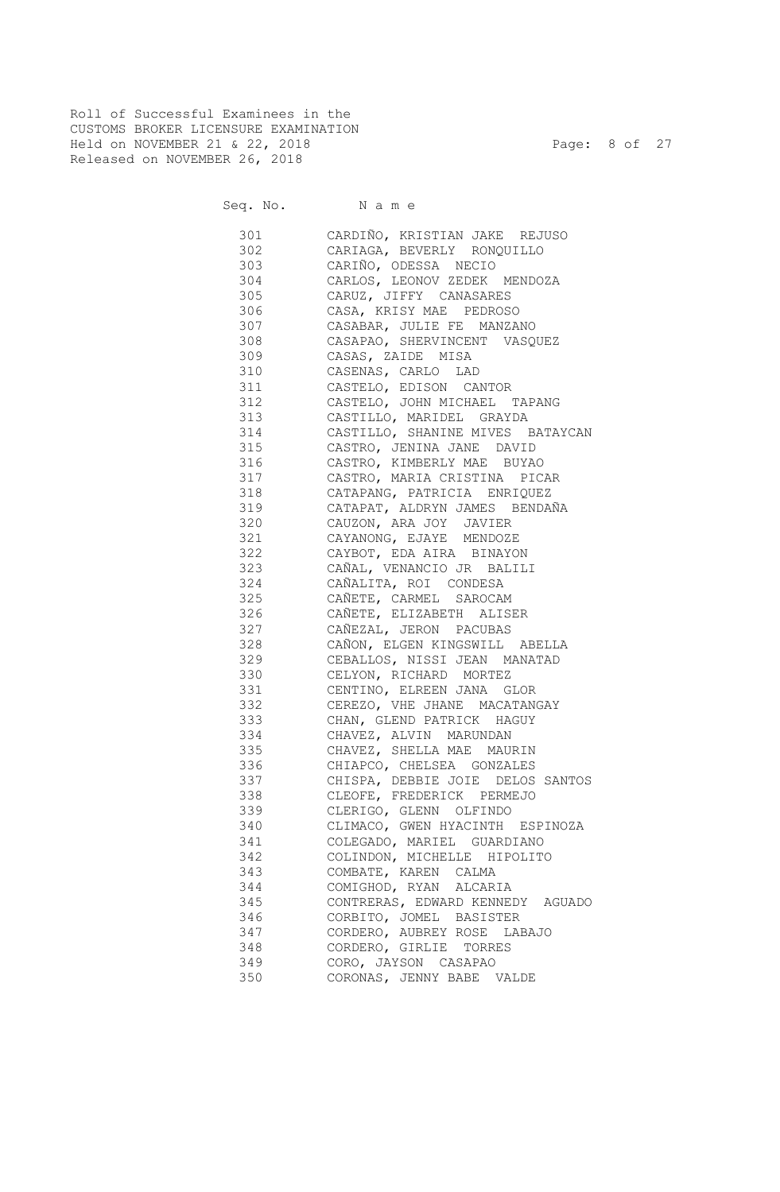Roll of Successful Examinees in the CUSTOMS BROKER LICENSURE EXAMINATION Held on NOVEMBER 21 & 22, 2018 Page: 8 of 27 Released on NOVEMBER 26, 2018

| 301 000 | CARDIÑO, KRISTIAN JAKE REJUSO    |
|---------|----------------------------------|
| 302     | CARIAGA, BEVERLY RONQUILLO       |
| 303 30  | CARIÑO, ODESSA NECIO             |
| 304     | CARLOS, LEONOV ZEDEK MENDOZA     |
| 305     | CARUZ, JIFFY CANASARES           |
| 306 300 | CASA, KRISY MAE PEDROSO          |
| 307 300 | CASABAR, JULIE FE MANZANO        |
| 308 30  | CASAPAO, SHERVINCENT VASQUEZ     |
| 309     | CASAS, ZAIDE MISA                |
| 310     | CASENAS, CARLO LAD               |
|         |                                  |
| 311     | CASTELO, EDISON CANTOR           |
| 312     | CASTELO, JOHN MICHAEL TAPANG     |
| 313     | CASTILLO, MARIDEL GRAYDA         |
| 314     | CASTILLO, SHANINE MIVES BATAYCAN |
| 315     | CASTRO, JENINA JANE DAVID        |
| 316     | CASTRO, KIMBERLY MAE BUYAO       |
| 317     | CASTRO, MARIA CRISTINA PICAR     |
| 318     | CATAPANG, PATRICIA ENRIQUEZ      |
| 319     | CATAPAT, ALDRYN JAMES BENDAÑA    |
| 320     | CAUZON, ARA JOY JAVIER           |
| 321     | CAYANONG, EJAYE MENDOZE          |
| 322     | CAYBOT, EDA AIRA BINAYON         |
| 323     | CAÑAL, VENANCIO JR BALILI        |
| 324     | CAÑALITA, ROI CONDESA            |
| 325     | CAÑETE, CARMEL SAROCAM           |
| 326     | CAÑETE, ELIZABETH ALISER         |
| 327     | CAÑEZAL, JERON PACUBAS           |
| 328     | CAÑON, ELGEN KINGSWILL ABELLA    |
| 329     | CEBALLOS, NISSI JEAN MANATAD     |
| 330     | CELYON, RICHARD MORTEZ           |
| 331     | CENTINO, ELREEN JANA GLOR        |
| 332     | CEREZO, VHE JHANE MACATANGAY     |
|         |                                  |
| 333     | CHAN, GLEND PATRICK HAGUY        |
| 334     | CHAVEZ, ALVIN MARUNDAN           |
| 335     | CHAVEZ, SHELLA MAE MAURIN        |
| 336     | CHIAPCO, CHELSEA GONZALES        |
| 337     | CHISPA, DEBBIE JOIE DELOS SANTOS |
| 338     | CLEOFE, FREDERICK PERMEJO        |
| 339     | CLERIGO, GLENN OLFINDO           |
| 340     | CLIMACO, GWEN HYACINTH ESPINOZA  |
| 341     | COLEGADO, MARIEL GUARDIANO       |
| 342     | COLINDON, MICHELLE HIPOLITO      |
| 343     | COMBATE, KAREN CALMA             |
| 344     | COMIGHOD, RYAN ALCARIA           |
| 345     | CONTRERAS, EDWARD KENNEDY AGUADO |
| 346     | CORBITO, JOMEL BASISTER          |
| 347     | CORDERO, AUBREY ROSE LABAJO      |
| 348     | CORDERO, GIRLIE TORRES           |
| 349     | CORO, JAYSON CASAPAO             |
| 350     | CORONAS, JENNY BABE VALDE        |
|         |                                  |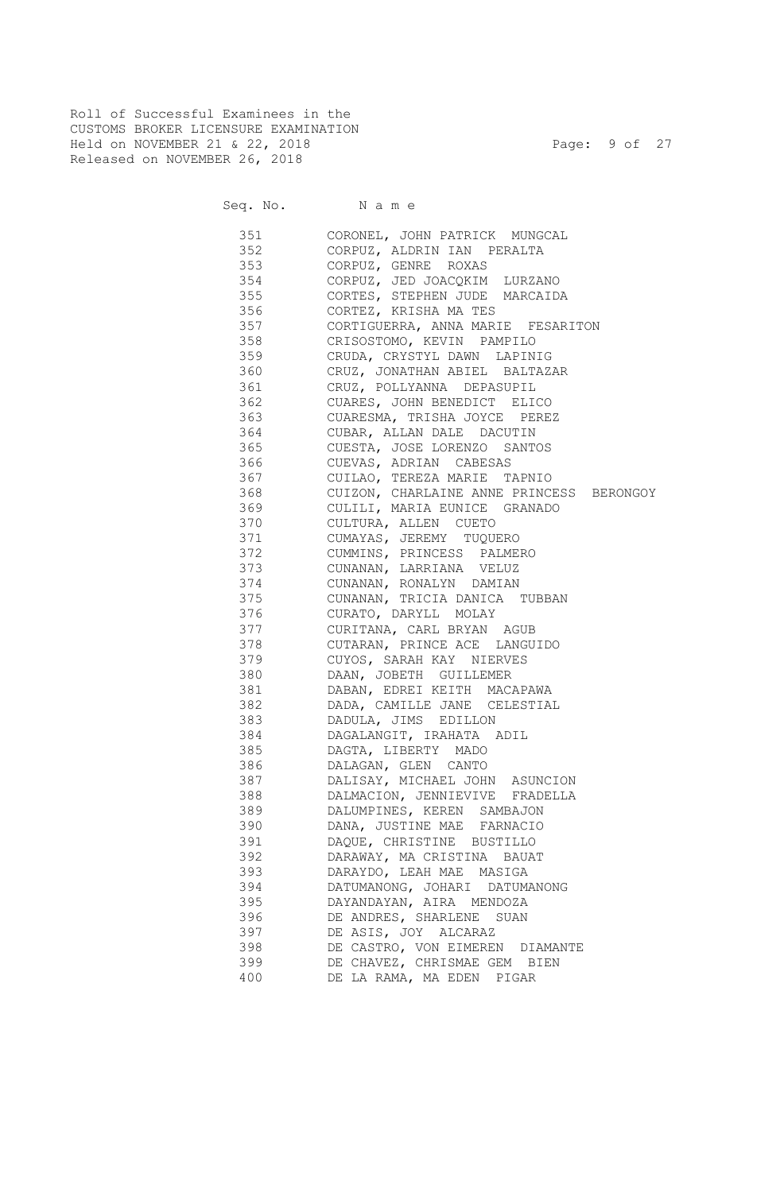Roll of Successful Examinees in the CUSTOMS BROKER LICENSURE EXAMINATION Held on NOVEMBER 21 & 22, 2018 Page: 9 of 27 Released on NOVEMBER 26, 2018

| 351 | CORONEL, JOHN PATRICK MUNGCAL            |
|-----|------------------------------------------|
| 352 | CORPUZ, ALDRIN IAN PERALTA               |
| 353 | CORPUZ, GENRE ROXAS                      |
| 354 | CORPUZ, JED JOACQKIM LURZANO             |
| 355 | CORTES, STEPHEN JUDE MARCAIDA            |
| 356 | CORTEZ, KRISHA MA TES                    |
| 357 | CORTIGUERRA, ANNA MARIE FESARITON        |
| 358 | CRISOSTOMO, KEVIN PAMPILO                |
| 359 | CRUDA, CRYSTYL DAWN LAPINIG              |
| 360 | CRUZ, JONATHAN ABIEL BALTAZAR            |
| 361 | CRUZ, POLLYANNA DEPASUPIL                |
| 362 | CUARES, JOHN BENEDICT ELICO              |
| 363 | CUARESMA, TRISHA JOYCE PEREZ             |
| 364 | CUBAR, ALLAN DALE DACUTIN                |
| 365 | CUESTA, JOSE LORENZO SANTOS              |
| 366 | CUEVAS, ADRIAN CABESAS                   |
| 367 | CUILAO, TEREZA MARIE TAPNIO              |
| 368 | CUIZON, CHARLAINE ANNE PRINCESS BERONGOY |
| 369 | CULILI, MARIA EUNICE GRANADO             |
| 370 | CULTURA, ALLEN CUETO                     |
| 371 | CUMAYAS, JEREMY TUQUERO                  |
| 372 | CUMMINS, PRINCESS PALMERO                |
| 373 | CUNANAN, LARRIANA VELUZ                  |
| 374 | CUNANAN, RONALYN DAMIAN                  |
| 375 | CUNANAN, TRICIA DANICA TUBBAN            |
| 376 | CURATO, DARYLL MOLAY                     |
| 377 | CURITANA, CARL BRYAN AGUB                |
| 378 | CUTARAN, PRINCE ACE LANGUIDO             |
| 379 | CUYOS, SARAH KAY NIERVES                 |
| 380 | DAAN, JOBETH GUILLEMER                   |
| 381 | DABAN, EDREI KEITH MACAPAWA              |
| 382 | DADA, CAMILLE JANE CELESTIAL             |
| 383 | DADULA, JIMS EDILLON                     |
| 384 | DAGALANGIT, IRAHATA ADIL                 |
| 385 | DAGTA, LIBERTY MADO                      |
| 386 | DALAGAN, GLEN CANTO                      |
| 387 | DALISAY, MICHAEL JOHN ASUNCION           |
| 388 | DALMACION, JENNIEVIVE FRADELLA           |
| 389 | DALUMPINES, KEREN SAMBAJON               |
| 390 | DANA, JUSTINE MAE FARNACIO               |
| 391 | DAQUE, CHRISTINE BUSTILLO                |
| 392 | DARAWAY, MA CRISTINA BAUAT               |
| 393 | DARAYDO, LEAH MAE MASIGA                 |
| 394 | DATUMANONG, JOHARI DATUMANONG            |
| 395 | DAYANDAYAN, AIRA MENDOZA                 |
| 396 | DE ANDRES, SHARLENE SUAN                 |
| 397 | DE ASIS, JOY ALCARAZ                     |
| 398 | DE CASTRO, VON EIMEREN DIAMANTE          |
| 399 | DE CHAVEZ, CHRISMAE GEM BIEN             |
| 400 | DE LA RAMA, MA EDEN PIGAR                |
|     |                                          |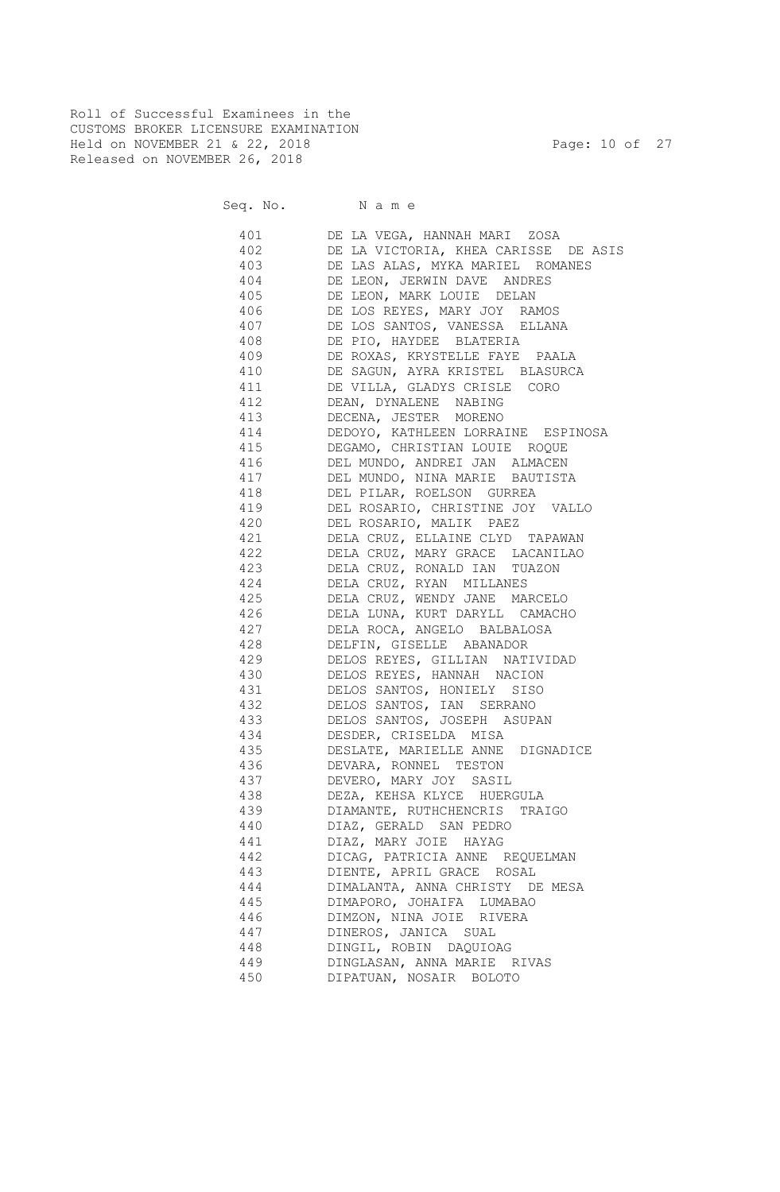Roll of Successful Examinees in the CUSTOMS BROKER LICENSURE EXAMINATION Held on NOVEMBER 21 & 22, 2018 Page: 10 of 27 Released on NOVEMBER 26, 2018

| 401       | DE LA VEGA, HANNAH MARI ZOSA         |
|-----------|--------------------------------------|
| 402       | DE LA VICTORIA, KHEA CARISSE DE ASIS |
| 403       | DE LAS ALAS, MYKA MARIEL ROMANES     |
| 404       | DE LEON, JERWIN DAVE ANDRES          |
| 405       | DE LEON, MARK LOUIE DELAN            |
| 406       | DE LOS REYES, MARY JOY RAMOS         |
| 407       | DE LOS SANTOS, VANESSA ELLANA        |
| 408       | DE PIO, HAYDEE BLATERIA              |
| 409       | DE ROXAS, KRYSTELLE FAYE PAALA       |
| 410       | DE SAGUN, AYRA KRISTEL BLASURCA      |
| 411       | DE VILLA, GLADYS CRISLE CORO         |
| 412       | DEAN, DYNALENE NABING                |
| 413       | DECENA, JESTER MORENO                |
| 414       | DEDOYO, KATHLEEN LORRAINE ESPINOSA   |
| 415       | DEGAMO, CHRISTIAN LOUIE ROQUE        |
| 416       | DEL MUNDO, ANDREI JAN ALMACEN        |
| 417       | DEL MUNDO, NINA MARIE BAUTISTA       |
| 418       | DEL PILAR, ROELSON GURREA            |
| 419       | DEL ROSARIO, CHRISTINE JOY VALLO     |
| 420       | DEL ROSARIO, MALIK PAEZ              |
| 421       | DELA CRUZ, ELLAINE CLYD TAPAWAN      |
| 422       | DELA CRUZ, MARY GRACE LACANILAO      |
| 423       | DELA CRUZ, RONALD IAN TUAZON         |
| 424       | DELA CRUZ, RYAN MILLANES             |
| 425       | DELA CRUZ, WENDY JANE MARCELO        |
| 426       | DELA LUNA, KURT DARYLL CAMACHO       |
| 427       | DELA ROCA, ANGELO BALBALOSA          |
| 428       | DELFIN, GISELLE ABANADOR             |
| 429       | DELOS REYES, GILLIAN NATIVIDAD       |
| 430       | DELOS REYES, HANNAH NACION           |
| 431       | DELOS SANTOS, HONIELY SISO           |
| 432       | DELOS SANTOS, IAN SERRANO            |
| 433       | DELOS SANTOS, JOSEPH ASUPAN          |
| 434       | DESDER, CRISELDA MISA                |
| 435       | DESLATE, MARIELLE ANNE DIGNADICE     |
| 436 7     | DEVARA, RONNEL TESTON                |
| 437 — 137 | DEVERO, MARY JOY SASIL               |
| 438       | DEZA, KEHSA KLYCE HUERGULA           |
| 439       | DIAMANTE, RUTHCHENCRIS TRAIGO        |
| 440       | DIAZ, GERALD SAN PEDRO               |
| 441       | DIAZ, MARY JOIE HAYAG                |
| 442       | DICAG, PATRICIA ANNE REQUELMAN       |
| 443       | DIENTE, APRIL GRACE ROSAL            |
| 444       | DIMALANTA, ANNA CHRISTY DE MESA      |
| 445       | DIMAPORO, JOHAIFA LUMABAO            |
| 446       | DIMZON, NINA JOIE RIVERA             |
| 447       | DINEROS, JANICA SUAL                 |
| 448       | DINGIL, ROBIN DAQUIOAG               |
| 449       | DINGLASAN, ANNA MARIE RIVAS          |
| 450       | DIPATUAN, NOSAIR BOLOTO              |
|           |                                      |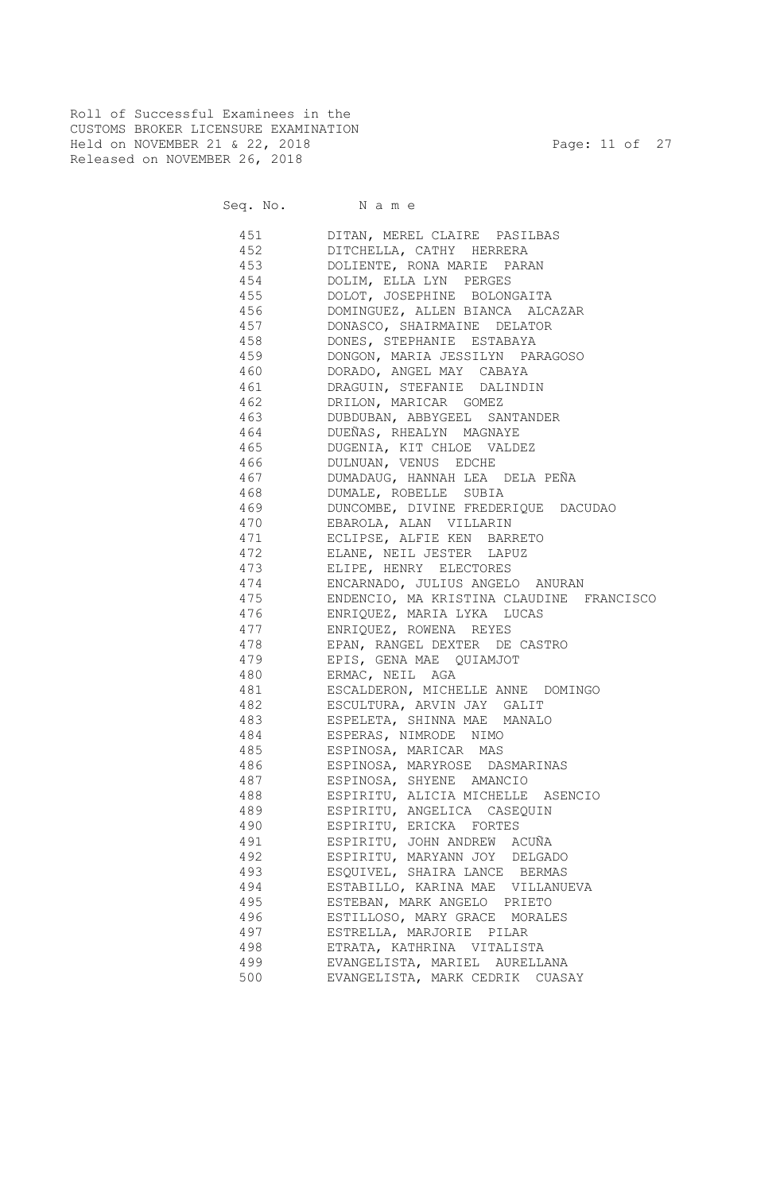Roll of Successful Examinees in the CUSTOMS BROKER LICENSURE EXAMINATION Held on NOVEMBER 21 & 22, 2018 Page: 11 of 27 Released on NOVEMBER 26, 2018

Seq. No. Name

 451 DITAN, MEREL CLAIRE PASILBAS 452 DITCHELLA, CATHY HERRERA 453 DOLIENTE, RONA MARIE PARAN 454 DOLIM, ELLA LYN PERGES 455 DOLOT, JOSEPHINE BOLONGAITA 456 DOMINGUEZ, ALLEN BIANCA ALCAZAR 457 DONASCO, SHAIRMAINE DELATOR 458 DONES, STEPHANIE ESTABAYA 459 DONGON, MARIA JESSILYN PARAGOSO 460 DORADO, ANGEL MAY CABAYA 461 DRAGUIN, STEFANIE DALINDIN 462 DRILON, MARICAR GOMEZ 463 DUBDUBAN, ABBYGEEL SANTANDER 464 DUEÑAS, RHEALYN MAGNAYE 465 DUGENIA, KIT CHLOE VALDEZ 466 DULNUAN, VENUS EDCHE 467 DUMADAUG, HANNAH LEA DELA PEÑA 468 DUMALE, ROBELLE SUBIA 469 DUNCOMBE, DIVINE FREDERIQUE DACUDAO 470 EBAROLA, ALAN VILLARIN 471 ECLIPSE, ALFIE KEN BARRETO 472 ELANE, NEIL JESTER LAPUZ 473 ELIPE, HENRY ELECTORES 474 ENCARNADO, JULIUS ANGELO ANURAN 475 ENDENCIO, MA KRISTINA CLAUDINE FRANCISCO 476 ENRIQUEZ, MARIA LYKA LUCAS 477 ENRIQUEZ, ROWENA REYES 478 EPAN, RANGEL DEXTER DE CASTRO 479 EPIS, GENA MAE QUIAMJOT 480 ERMAC, NEIL AGA 481 ESCALDERON, MICHELLE ANNE DOMINGO 482 ESCULTURA, ARVIN JAY GALIT 483 ESPELETA, SHINNA MAE MANALO 484 ESPERAS, NIMRODE NIMO 485 ESPINOSA, MARICAR MAS 486 ESPINOSA, MARYROSE DASMARINAS 487 ESPINOSA, SHYENE AMANCIO 488 ESPIRITU, ALICIA MICHELLE ASENCIO 489 ESPIRITU, ANGELICA CASEQUIN 490 ESPIRITU, ERICKA FORTES 491 ESPIRITU, JOHN ANDREW ACUÑA 492 ESPIRITU, MARYANN JOY DELGADO 493 ESQUIVEL, SHAIRA LANCE BERMAS 494 ESTABILLO, KARINA MAE VILLANUEVA 495 ESTEBAN, MARK ANGELO PRIETO 496 ESTILLOSO, MARY GRACE MORALES 497 ESTRELLA, MARJORIE PILAR 498 ETRATA, KATHRINA VITALISTA 499 EVANGELISTA, MARIEL AURELLANA 500 EVANGELISTA, MARK CEDRIK CUASAY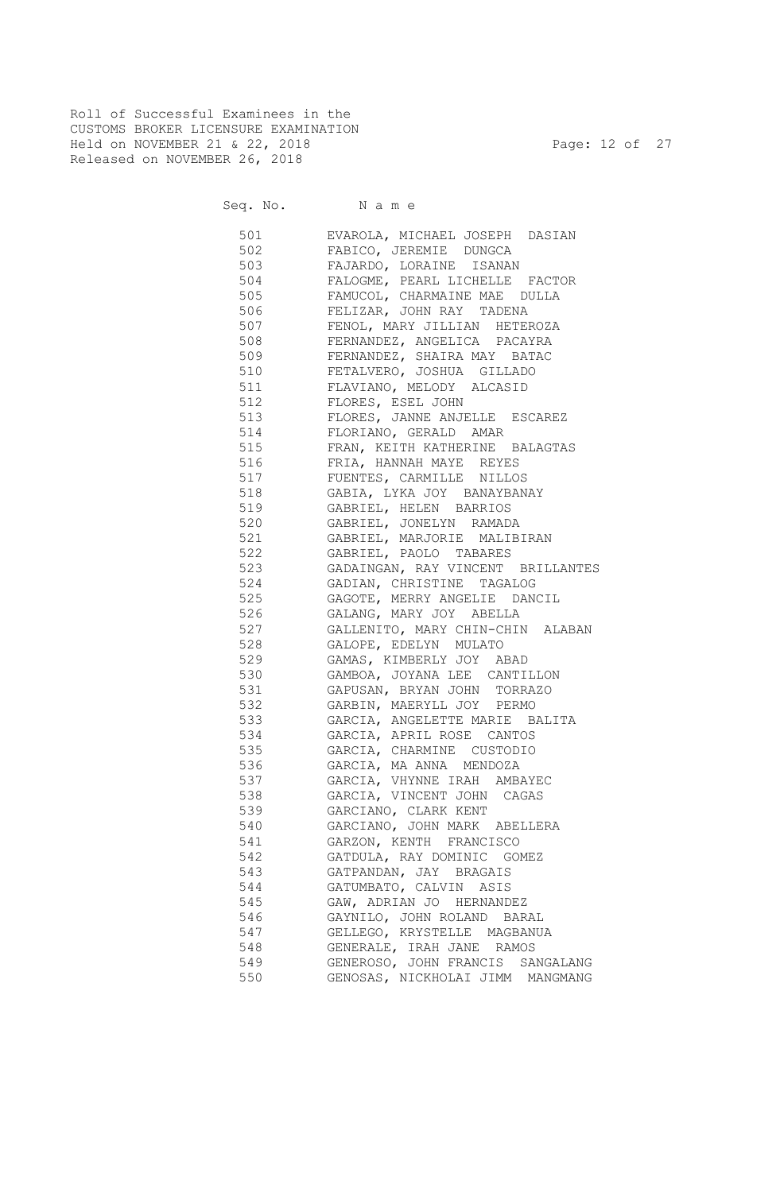Roll of Successful Examinees in the CUSTOMS BROKER LICENSURE EXAMINATION Held on NOVEMBER 21 & 22, 2018 Page: 12 of 27 Released on NOVEMBER 26, 2018

| 501 | EVAROLA, MICHAEL JOSEPH DASIAN                                     |
|-----|--------------------------------------------------------------------|
|     | 502 FABICO, JEREMIE DUNGCA                                         |
|     | 503 FAJARDO, LORAINE ISANAN                                        |
|     | 504 FALOGME, PEARL LICHELLE FACTOR                                 |
|     | 505 FAMUCOL, CHARMAINE MAE DULLA                                   |
|     | 506 FELIZAR, JOHN RAY TADENA                                       |
|     | 507 FENOL, MARY JILLIAN HETEROZA                                   |
| 508 | FERNANDEZ, ANGELICA PACAYRA                                        |
| 509 | FERNANDEZ, SHAIRA MAY BATAC                                        |
| 510 | FETALVERO, JOSHUA GILLADO                                          |
| 511 | FLAVIANO, MELODY ALCASID                                           |
| 512 | FLORES, ESEL JOHN                                                  |
| 513 | FLORES, JANNE ANJELLE ESCAREZ<br>FLORIANO, GERALD AMAR<br>EDAM III |
| 514 |                                                                    |
| 515 | FRAN, KEITH KATHERINE BALAGTAS                                     |
| 516 |                                                                    |
| 517 | FRIA, HANNAH MAYE REYES<br>FUENTES, CARMILLE NILLOS                |
| 518 | GABIA, LYKA JOY BANAYBANAY                                         |
| 519 | GABRIEL, HELEN BARRIOS                                             |
| 520 | GABRIEL, JONELYN RAMADA                                            |
| 521 | GABRIEL, MARJORIE MALIBIRAN                                        |
| 522 | GABRIEL, PAOLO TABARES                                             |
| 523 | GADAINGAN, RAY VINCENT BRILLANTES                                  |
| 524 | GADIAN, CHRISTINE TAGALOG                                          |
| 525 |                                                                    |
|     | GAGOTE, MERRY ANGELIE DANCIL                                       |
| 526 | GALANG, MARY JOY ABELLA                                            |
| 527 | GALLENITO, MARY CHIN-CHIN ALABAN                                   |
| 528 | GALOPE, EDELYN MULATO                                              |
| 529 | GAMAS, KIMBERLY JOY ABAD                                           |
| 530 | GAMBOA, JOYANA LEE CANTILLON                                       |
|     | 531 GAPUSAN, BRYAN JOHN TORRAZO                                    |
|     | 532 GARBIN, MAERYLL JOY PERMO                                      |
|     | 533 GARCIA, ANGELETTE MARIE BALITA                                 |
|     | 534 GARCIA, APRIL ROSE CANTOS                                      |
|     | 535 GARCIA, CHARMINE CUSTODIO                                      |
|     | 536 GARCIA, MA ANNA MENDOZA                                        |
|     | 537 GARCIA, VHYNNE IRAH AMBAYEC                                    |
|     | 538 GARCIA, VINCENT JOHN CAGAS                                     |
| 539 | GARCIANO, CLARK KENT                                               |
| 540 | GARCIANO, JOHN MARK ABELLERA                                       |
| 541 | GARZON, KENTH FRANCISCO                                            |
| 542 | GATDULA, RAY DOMINIC GOMEZ                                         |
| 543 | GATPANDAN, JAY BRAGAIS                                             |
| 544 | GATUMBATO, CALVIN ASIS                                             |
| 545 | GAW, ADRIAN JO HERNANDEZ                                           |
| 546 | GAYNILO, JOHN ROLAND BARAL                                         |
| 547 | GELLEGO, KRYSTELLE MAGBANUA                                        |
| 548 | GENERALE, IRAH JANE RAMOS                                          |
| 549 | GENEROSO, JOHN FRANCIS SANGALANG                                   |
| 550 | GENOSAS, NICKHOLAI JIMM MANGMANG                                   |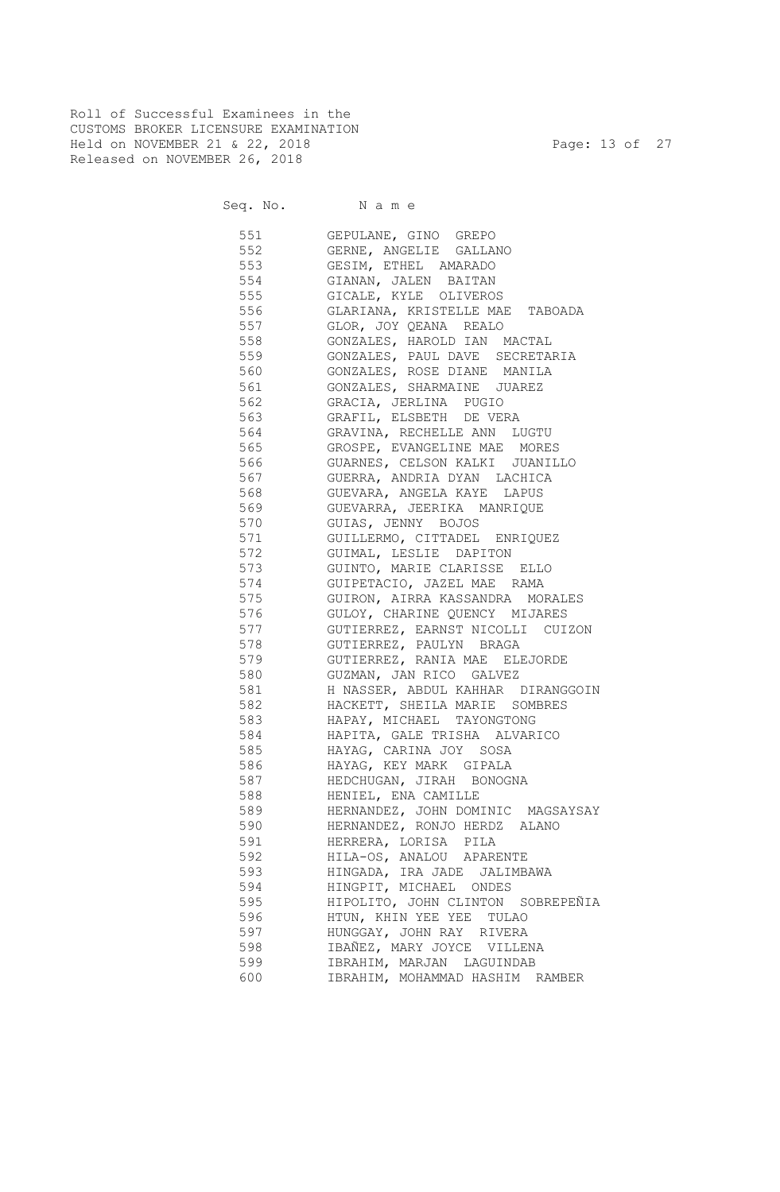Roll of Successful Examinees in the CUSTOMS BROKER LICENSURE EXAMINATION Held on NOVEMBER 21 & 22, 2018 Page: 13 of 27 Released on NOVEMBER 26, 2018

Seq. No. Name

 551 GEPULANE, GINO GREPO 552 GERNE, ANGELIE GALLANO 553 GESIM, ETHEL AMARADO 554 GIANAN, JALEN BAITAN 555 GICALE, KYLE OLIVEROS 556 GLARIANA, KRISTELLE MAE TABOADA 557 GLOR, JOY QEANA REALO 558 GONZALES, HAROLD IAN MACTAL 559 GONZALES, PAUL DAVE SECRETARIA 560 GONZALES, ROSE DIANE MANILA 561 GONZALES, SHARMAINE JUAREZ 562 GRACIA, JERLINA PUGIO 563 GRAFIL, ELSBETH DE VERA 564 GRAVINA, RECHELLE ANN LUGTU 565 GROSPE, EVANGELINE MAE MORES 566 GUARNES, CELSON KALKI JUANILLO 567 GUERRA, ANDRIA DYAN LACHICA 568 GUEVARA, ANGELA KAYE LAPUS 569 GUEVARRA, JEERIKA MANRIQUE 570 GUIAS, JENNY BOJOS 571 GUILLERMO, CITTADEL ENRIQUEZ 572 GUIMAL, LESLIE DAPITON 573 GUINTO, MARIE CLARISSE ELLO 574 GUIPETACIO, JAZEL MAE RAMA 575 GUIRON, AIRRA KASSANDRA MORALES 576 GULOY, CHARINE QUENCY MIJARES 577 GUTIERREZ, EARNST NICOLLI CUIZON 578 GUTIERREZ, PAULYN BRAGA 579 GUTIERREZ, RANIA MAE ELEJORDE 580 GUZMAN, JAN RICO GALVEZ 581 H NASSER, ABDUL KAHHAR DIRANGGOIN 582 HACKETT, SHEILA MARIE SOMBRES 583 HAPAY, MICHAEL TAYONGTONG 584 HAPITA, GALE TRISHA ALVARICO 585 HAYAG, CARINA JOY SOSA 586 HAYAG, KEY MARK GIPALA 587 HEDCHUGAN, JIRAH BONOGNA 588 HENIEL, ENA CAMILLE 589 HERNANDEZ, JOHN DOMINIC MAGSAYSAY 590 HERNANDEZ, RONJO HERDZ ALANO 591 HERRERA, LORISA PILA 592 HILA-OS, ANALOU APARENTE 593 HINGADA, IRA JADE JALIMBAWA 594 HINGPIT, MICHAEL ONDES 595 HIPOLITO, JOHN CLINTON SOBREPEÑIA 596 HTUN, KHIN YEE YEE TULAO 597 HUNGGAY, JOHN RAY RIVERA 598 IBAÑEZ, MARY JOYCE VILLENA 599 IBRAHIM, MARJAN LAGUINDAB 600 IBRAHIM, MOHAMMAD HASHIM RAMBER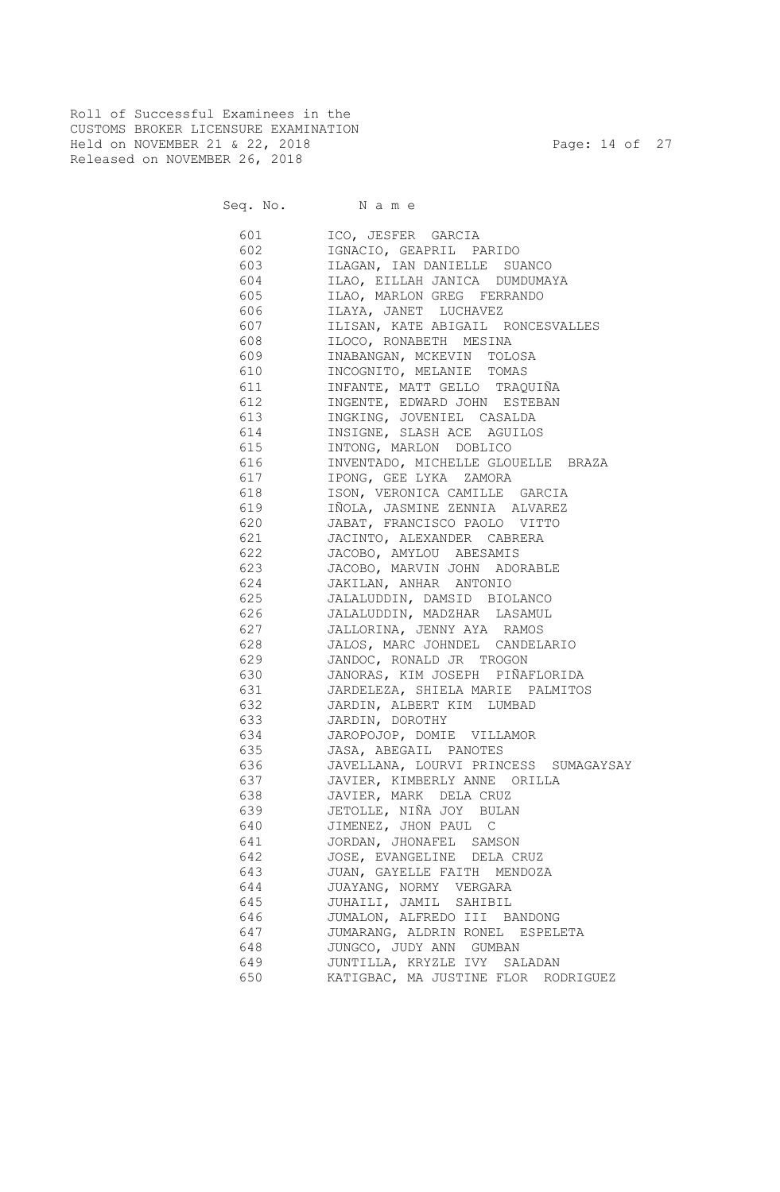Roll of Successful Examinees in the CUSTOMS BROKER LICENSURE EXAMINATION Held on NOVEMBER 21 & 22, 2018 Page: 14 of 27 Released on NOVEMBER 26, 2018

Seq. No. Name

 601 ICO, JESFER GARCIA 602 IGNACIO, GEAPRIL PARIDO 603 ILAGAN, IAN DANIELLE SUANCO 604 ILAO, EILLAH JANICA DUMDUMAYA 605 ILAO, MARLON GREG FERRANDO 606 ILAYA, JANET LUCHAVEZ 607 ILISAN, KATE ABIGAIL RONCESVALLES 608 ILOCO, RONABETH MESINA 609 INABANGAN, MCKEVIN TOLOSA 610 INCOGNITO, MELANIE TOMAS 611 INFANTE, MATT GELLO TRAQUIÑA 612 INGENTE, EDWARD JOHN ESTEBAN 613 INGKING, JOVENIEL CASALDA 614 INSIGNE, SLASH ACE AGUILOS 615 INTONG, MARLON DOBLICO 616 INVENTADO, MICHELLE GLOUELLE BRAZA 617 IPONG, GEE LYKA ZAMORA 618 ISON, VERONICA CAMILLE GARCIA 619 IÑOLA, JASMINE ZENNIA ALVAREZ 620 JABAT, FRANCISCO PAOLO VITTO 621 JACINTO, ALEXANDER CABRERA 622 JACOBO, AMYLOU ABESAMIS 623 JACOBO, MARVIN JOHN ADORABLE 624 JAKILAN, ANHAR ANTONIO 625 JALALUDDIN, DAMSID BIOLANCO 626 JALALUDDIN, MADZHAR LASAMUL 627 JALLORINA, JENNY AYA RAMOS 628 JALOS, MARC JOHNDEL CANDELARIO 629 JANDOC, RONALD JR TROGON 630 JANORAS, KIM JOSEPH PIÑAFLORIDA 631 JARDELEZA, SHIELA MARIE PALMITOS 632 JARDIN, ALBERT KIM LUMBAD 633 JARDIN, DOROTHY 634 JAROPOJOP, DOMIE VILLAMOR 635 JASA, ABEGAIL PANOTES 636 JAVELLANA, LOURVI PRINCESS SUMAGAYSAY 637 JAVIER, KIMBERLY ANNE ORILLA 638 JAVIER, MARK DELA CRUZ 639 JETOLLE, NIÑA JOY BULAN 640 JIMENEZ, JHON PAUL C 641 JORDAN, JHONAFEL SAMSON 642 JOSE, EVANGELINE DELA CRUZ 643 JUAN, GAYELLE FAITH MENDOZA 644 JUAYANG, NORMY VERGARA 645 JUHAILI, JAMIL SAHIBIL 646 JUMALON, ALFREDO III BANDONG 647 JUMARANG, ALDRIN RONEL ESPELETA 648 JUNGCO, JUDY ANN GUMBAN 649 JUNTILLA, KRYZLE IVY SALADAN 650 KATIGBAC, MA JUSTINE FLOR RODRIGUEZ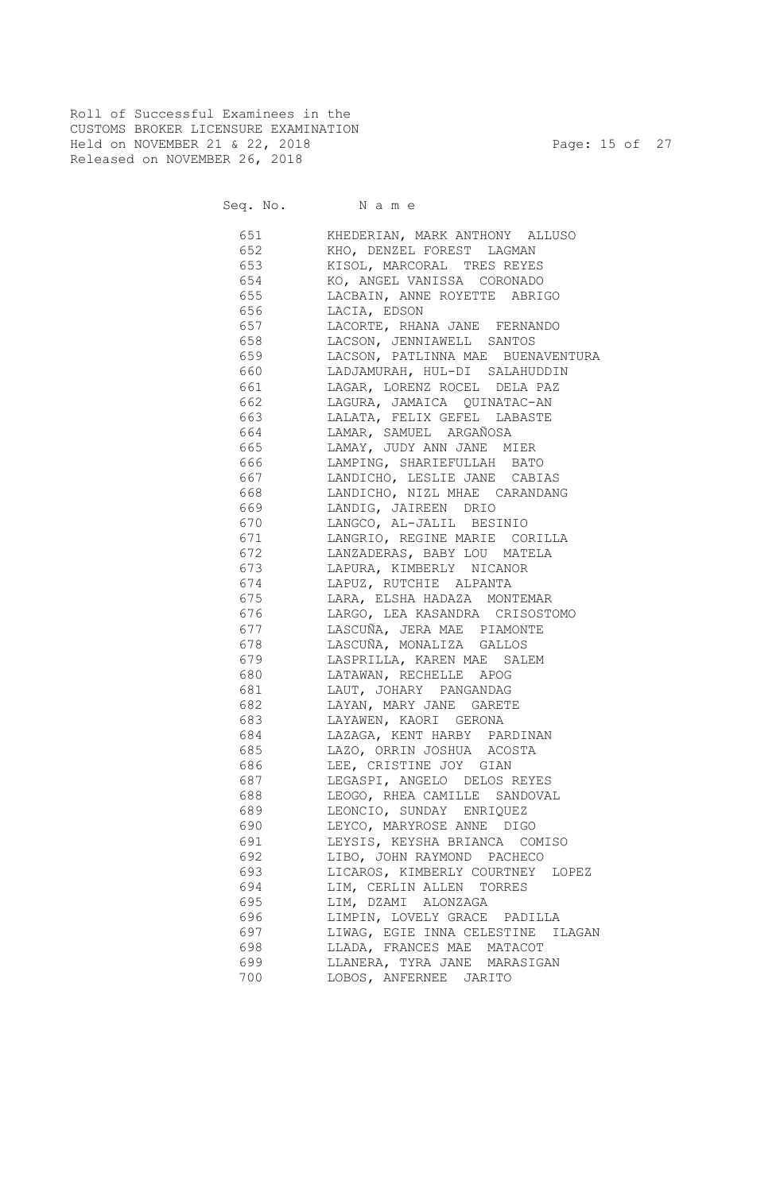Roll of Successful Examinees in the CUSTOMS BROKER LICENSURE EXAMINATION Held on NOVEMBER 21 & 22, 2018 Page: 15 of 27 Released on NOVEMBER 26, 2018

Seq. No. Name

 651 KHEDERIAN, MARK ANTHONY ALLUSO 652 KHO, DENZEL FOREST LAGMAN 653 KISOL, MARCORAL TRES REYES 654 KO, ANGEL VANISSA CORONADO 655 LACBAIN, ANNE ROYETTE ABRIGO 656 LACIA, EDSON 657 LACORTE, RHANA JANE FERNANDO 658 LACSON, JENNIAWELL SANTOS 659 LACSON, PATLINNA MAE BUENAVENTURA 660 LADJAMURAH, HUL-DI SALAHUDDIN 661 LAGAR, LORENZ ROCEL DELA PAZ 662 LAGURA, JAMAICA QUINATAC-AN 663 LALATA, FELIX GEFEL LABASTE 664 LAMAR, SAMUEL ARGAÑOSA 665 LAMAY, JUDY ANN JANE MIER 666 LAMPING, SHARIEFULLAH BATO 667 LANDICHO, LESLIE JANE CABIAS 668 LANDICHO, NIZL MHAE CARANDANG 669 LANDIG, JAIREEN DRIO 670 LANGCO, AL-JALIL BESINIO 671 LANGRIO, REGINE MARIE CORILLA 672 LANZADERAS, BABY LOU MATELA 673 LAPURA, KIMBERLY NICANOR 674 LAPUZ, RUTCHIE ALPANTA 675 LARA, ELSHA HADAZA MONTEMAR 676 LARGO, LEA KASANDRA CRISOSTOMO 677 LASCUÑA, JERA MAE PIAMONTE 678 LASCUÑA, MONALIZA GALLOS 679 LASPRILLA, KAREN MAE SALEM 680 LATAWAN, RECHELLE APOG 681 LAUT, JOHARY PANGANDAG 682 LAYAN, MARY JANE GARETE 683 LAYAWEN, KAORI GERONA 684 LAZAGA, KENT HARBY PARDINAN 685 LAZO, ORRIN JOSHUA ACOSTA 686 LEE, CRISTINE JOY GIAN 687 LEGASPI, ANGELO DELOS REYES 688 LEOGO, RHEA CAMILLE SANDOVAL 689 LEONCIO, SUNDAY ENRIQUEZ 690 LEYCO, MARYROSE ANNE DIGO 691 LEYSIS, KEYSHA BRIANCA COMISO 692 LIBO, JOHN RAYMOND PACHECO 693 LICAROS, KIMBERLY COURTNEY LOPEZ 694 LIM, CERLIN ALLEN TORRES 695 LIM, DZAMI ALONZAGA 696 LIMPIN, LOVELY GRACE PADILLA 697 LIWAG, EGIE INNA CELESTINE ILAGAN 698 LLADA, FRANCES MAE MATACOT 699 LLANERA, TYRA JANE MARASIGAN 700 LOBOS, ANFERNEE JARITO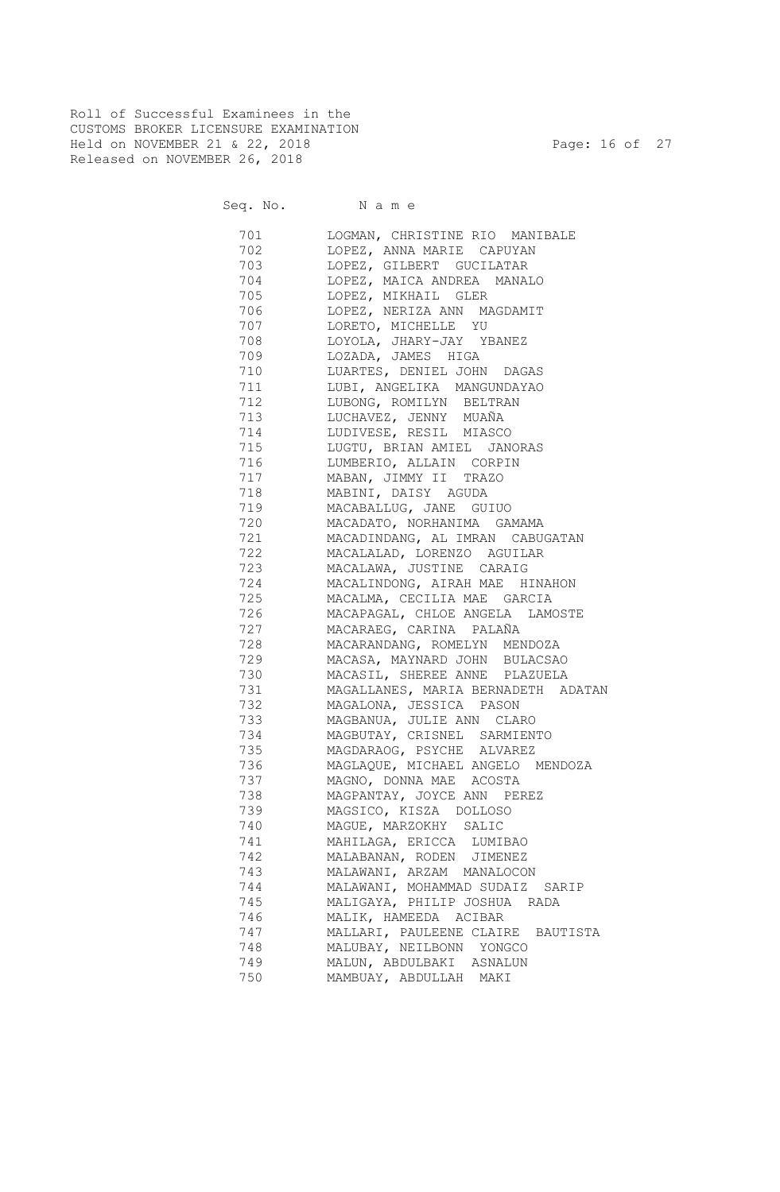Roll of Successful Examinees in the CUSTOMS BROKER LICENSURE EXAMINATION Held on NOVEMBER 21 & 22, 2018 Page: 16 of 27 Released on NOVEMBER 26, 2018

| 701       | LOGMAN, CHRISTINE RIO MANIBALE     |
|-----------|------------------------------------|
| 702 200   | LOPEZ, ANNA MARIE CAPUYAN          |
| 703       | LOPEZ, GILBERT GUCILATAR           |
| 704       | LOPEZ, MAICA ANDREA MANALO         |
| 705       | LOPEZ, MIKHAIL GLER                |
| 706 — 10  | LOPEZ, NERIZA ANN MAGDAMIT         |
| 707       | LORETO, MICHELLE YU                |
| 708 — 108 | LOYOLA, JHARY-JAY YBANEZ           |
| 709 — 200 | LOZADA, JAMES HIGA                 |
| 710       | LUARTES, DENIEL JOHN DAGAS         |
| 711 — 200 | LUBI, ANGELIKA MANGUNDAYAO         |
| 712       | LUBONG, ROMILYN BELTRAN            |
| 713       | LUCHAVEZ, JENNY MUAÑA              |
| 714       | LUDIVESE, RESIL MIASCO             |
| 715       | LUGTU, BRIAN AMIEL JANORAS         |
| 716       | LUMBERIO, ALLAIN CORPIN            |
| 717       | MABAN, JIMMY II TRAZO              |
| 718       | MABINI, DAISY AGUDA                |
| 719       | MACABALLUG, JANE GUIUO             |
| 720 — 20  | MACADATO, NORHANIMA GAMAMA         |
| 721       | MACADINDANG, AL IMRAN CABUGATAN    |
| 722       | MACALALAD, LORENZO AGUILAR         |
| 723       | MACALAWA, JUSTINE CARAIG           |
| 724       | MACALINDONG, AIRAH MAE HINAHON     |
| 725       | MACALMA, CECILIA MAE GARCIA        |
| 726       | MACAPAGAL, CHLOE ANGELA LAMOSTE    |
| 727       | MACARAEG, CARINA PALAÑA            |
| 728       | MACARANDANG, ROMELYN MENDOZA       |
| 729       | MACASA, MAYNARD JOHN BULACSAO      |
| 730       | MACASIL, SHEREE ANNE PLAZUELA      |
| 731       | MAGALLANES, MARIA BERNADETH ADATAN |
| 732       | MAGALONA, JESSICA PASON            |
| 733       | MAGBANUA, JULIE ANN CLARO          |
| 734       | MAGBUTAY, CRISNEL SARMIENTO        |
| 735       | MAGDARAOG, PSYCHE ALVAREZ          |
| 736       | MAGLAQUE, MICHAEL ANGELO MENDOZA   |
| 737       | MAGNO, DONNA MAE ACOSTA            |
| 738       | MAGPANTAY, JOYCE ANN PEREZ         |
| 739       | MAGSICO, KISZA DOLLOSO             |
| 740       | MAGUE, MARZOKHY SALIC              |
| 741       | MAHILAGA, ERICCA LUMIBAO           |
| 742       | MALABANAN, RODEN JIMENEZ           |
| 743       | MALAWANI, ARZAM MANALOCON          |
| 744       | MALAWANI, MOHAMMAD SUDAIZ SARIP    |
| 745       | MALIGAYA, PHILIP JOSHUA RADA       |
| 746       | MALIK, HAMEEDA ACIBAR              |
| 747       | MALLARI, PAULEENE CLAIRE BAUTISTA  |
| 748       | MALUBAY, NEILBONN YONGCO           |
| 749       | MALUN, ABDULBAKI ASNALUN           |
| 750       | MAMBUAY, ABDULLAH MAKI             |
|           |                                    |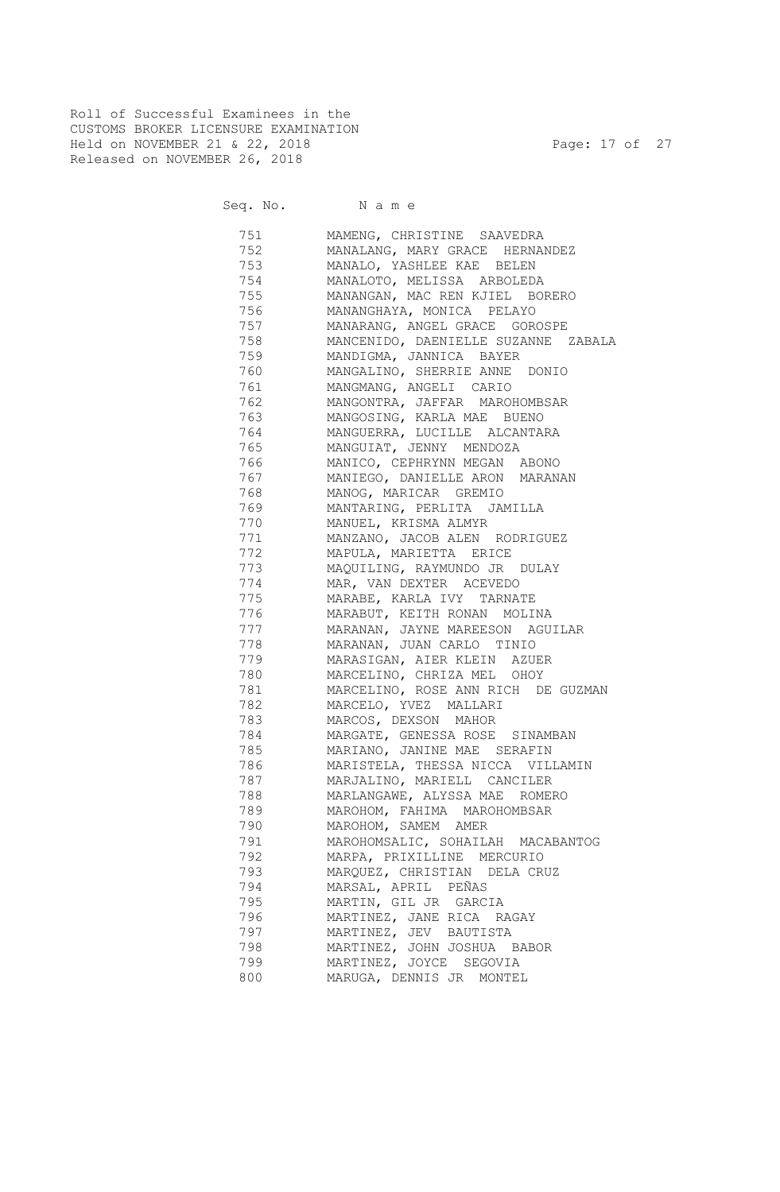Roll of Successful Examinees in the CUSTOMS BROKER LICENSURE EXAMINATION Held on NOVEMBER 21 & 22, 2018 Page: 17 of 27 Released on NOVEMBER 26, 2018

Seq. No. Name

 751 MAMENG, CHRISTINE SAAVEDRA 752 MANALANG, MARY GRACE HERNANDEZ 753 MANALO, YASHLEE KAE BELEN 754 MANALOTO, MELISSA ARBOLEDA 755 MANANGAN, MAC REN KJIEL BORERO 756 MANANGHAYA, MONICA PELAYO 757 MANARANG, ANGEL GRACE GOROSPE 758 MANCENIDO, DAENIELLE SUZANNE ZABALA 759 MANDIGMA, JANNICA BAYER 760 MANGALINO, SHERRIE ANNE DONIO 761 MANGMANG, ANGELI CARIO 762 MANGONTRA, JAFFAR MAROHOMBSAR 763 MANGOSING, KARLA MAE BUENO 764 MANGUERRA, LUCILLE ALCANTARA 765 MANGUIAT, JENNY MENDOZA 766 MANICO, CEPHRYNN MEGAN ABONO 767 MANIEGO, DANIELLE ARON MARANAN 768 MANOG, MARICAR GREMIO 769 MANTARING, PERLITA JAMILLA 770 MANUEL, KRISMA ALMYR 771 MANZANO, JACOB ALEN RODRIGUEZ 772 MAPULA, MARIETTA ERICE 773 MAQUILING, RAYMUNDO JR DULAY 774 MAR, VAN DEXTER ACEVEDO 775 MARABE, KARLA IVY TARNATE 776 MARABUT, KEITH RONAN MOLINA 777 MARANAN, JAYNE MAREESON AGUILAR 778 MARANAN, JUAN CARLO TINIO 779 MARASIGAN, AIER KLEIN AZUER 780 MARCELINO, CHRIZA MEL OHOY 781 MARCELINO, ROSE ANN RICH DE GUZMAN 782 MARCELO, YVEZ MALLARI 783 MARCOS, DEXSON MAHOR 784 MARGATE, GENESSA ROSE SINAMBAN 785 MARIANO, JANINE MAE SERAFIN 786 MARISTELA, THESSA NICCA VILLAMIN 787 MARJALINO, MARIELL CANCILER 788 MARLANGAWE, ALYSSA MAE ROMERO 789 MAROHOM, FAHIMA MAROHOMBSAR 790 MAROHOM, SAMEM AMER 791 MAROHOMSALIC, SOHAILAH MACABANTOG 792 MARPA, PRIXILLINE MERCURIO 793 MARQUEZ, CHRISTIAN DELA CRUZ 794 MARSAL, APRIL PEÑAS 795 MARTIN, GIL JR GARCIA 796 MARTINEZ, JANE RICA RAGAY 797 MARTINEZ, JEV BAUTISTA 798 MARTINEZ, JOHN JOSHUA BABOR 799 MARTINEZ, JOYCE SEGOVIA 800 MARUGA, DENNIS JR MONTEL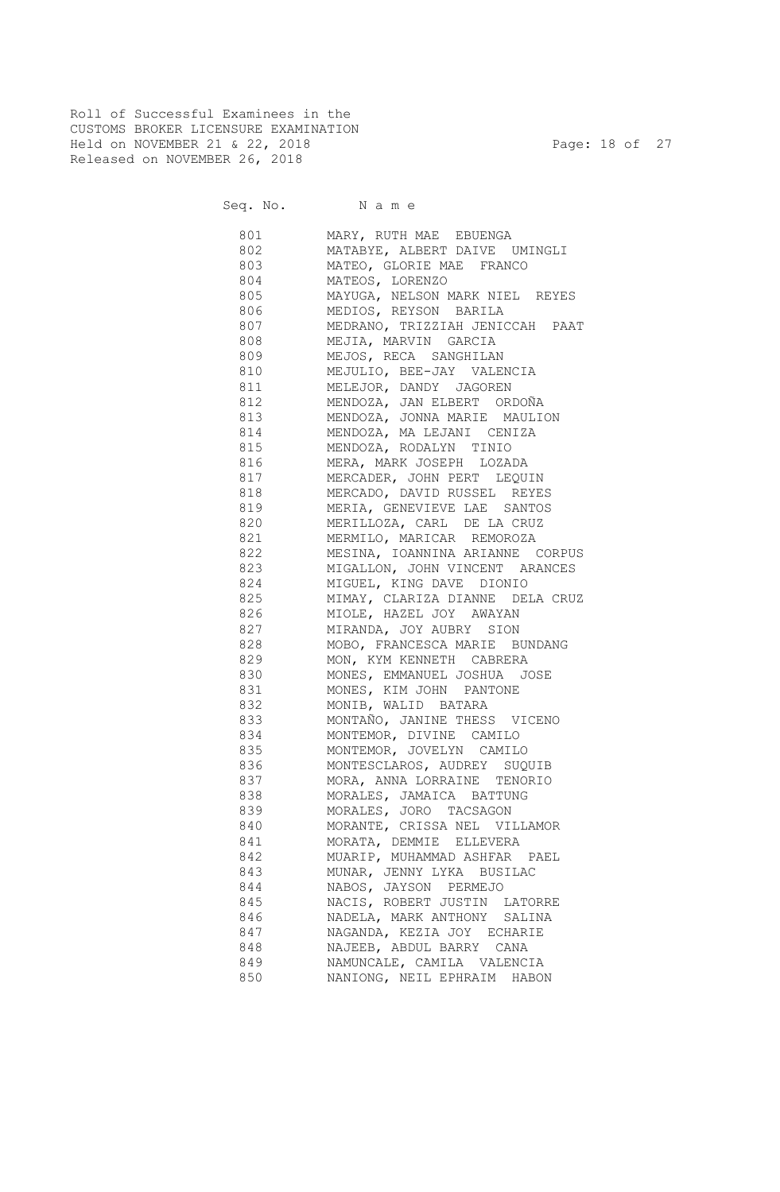Roll of Successful Examinees in the CUSTOMS BROKER LICENSURE EXAMINATION Held on NOVEMBER 21 & 22, 2018 Page: 18 of 27 Released on NOVEMBER 26, 2018

| 801 000 | MARY, RUTH MAE EBUENGA           |
|---------|----------------------------------|
| 802 000 | MATABYE, ALBERT DAIVE UMINGLI    |
|         | 803 MATEO, GLORIE MAE FRANCO     |
| 804 80  | MATEOS, LORENZO                  |
| 805 700 | MAYUGA, NELSON MARK NIEL REYES   |
| 806 80  | MEDIOS, REYSON BARILA            |
| 807     | MEDRANO, TRIZZIAH JENICCAH PAAT  |
|         | 808 MEJIA, MARVIN GARCIA         |
|         | 809 MEJOS, RECA SANGHILAN        |
|         | 810 MEJULIO, BEE-JAY VALENCIA    |
|         | 811 MELEJOR, DANDY JAGOREN       |
|         | 812 MENDOZA, JAN ELBERT ORDOÑA   |
|         | 813 MENDOZA, JONNA MARIE MAULION |
|         | 814 MENDOZA, MA LEJANI CENIZA    |
|         | 815 MENDOZA, RODALYN TINIO       |
| 816     | MERA, MARK JOSEPH LOZADA         |
| 817     | MERCADER, JOHN PERT LEQUIN       |
| 818     | MERCADO, DAVID RUSSEL REYES      |
| 819     | MERIA, GENEVIEVE LAE SANTOS      |
| 820     | MERILLOZA, CARL DE LA CRUZ       |
| 821     | MERMILO, MARICAR REMOROZA        |
| 822     | MESINA, IOANNINA ARIANNE CORPUS  |
| 823     | MIGALLON, JOHN VINCENT ARANCES   |
| 824     | MIGUEL, KING DAVE DIONIO         |
| 825     | MIMAY, CLARIZA DIANNE DELA CRUZ  |
| 826     | MIOLE, HAZEL JOY AWAYAN          |
| 827     | MIRANDA, JOY AUBRY SION          |
| 828     | MOBO, FRANCESCA MARIE BUNDANG    |
| 829     | MON, KYM KENNETH CABRERA         |
| 830     | MONES, EMMANUEL JOSHUA JOSE      |
| 831     | MONES, KIM JOHN PANTONE          |
| 832     | MONIB, WALID BATARA              |
| 833     | MONTAÑO, JANINE THESS VICENO     |
| 834     | MONTEMOR, DIVINE CAMILO          |
| 835     |                                  |
|         | MONTEMOR, JOVELYN CAMILO         |
| 836     | MONTESCLAROS, AUDREY SUQUIB      |
| 837     | MORA, ANNA LORRAINE TENORIO      |
| 838     | MORALES, JAMAICA BATTUNG         |
| 839     | MORALES, JORO TACSAGON           |
| 840     | MORANTE, CRISSA NEL VILLAMOR     |
| 841     | MORATA, DEMMIE ELLEVERA          |
| 842     | MUARIP, MUHAMMAD ASHFAR PAEL     |
| 843     | MUNAR, JENNY LYKA BUSILAC        |
| 844     | NABOS, JAYSON PERMEJO            |
| 845     | NACIS, ROBERT JUSTIN LATORRE     |
| 846     | NADELA, MARK ANTHONY SALINA      |
| 847     | NAGANDA, KEZIA JOY ECHARIE       |
| 848     | NAJEEB, ABDUL BARRY CANA         |
| 849     | NAMUNCALE, CAMILA VALENCIA       |
| 850     | NANIONG, NEIL EPHRAIM HABON      |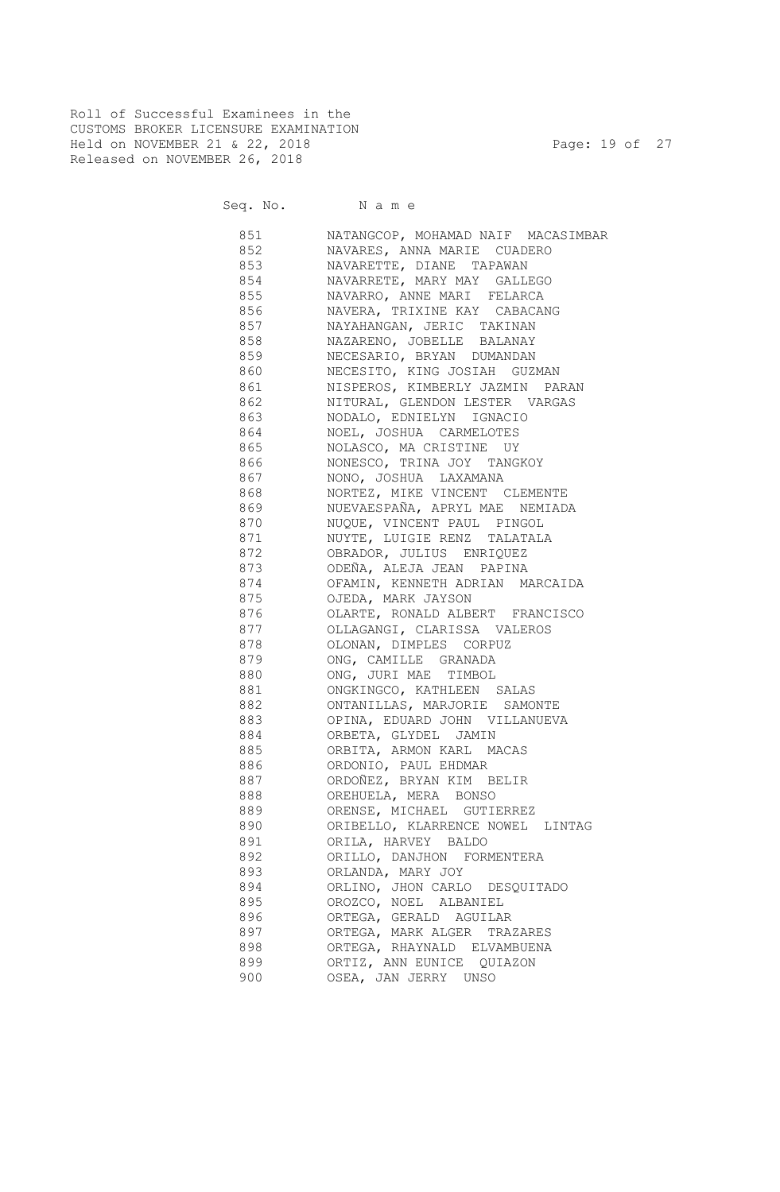Roll of Successful Examinees in the CUSTOMS BROKER LICENSURE EXAMINATION Held on NOVEMBER 21 & 22, 2018 Page: 19 of 27 Released on NOVEMBER 26, 2018

Seq. No. Name

 851 NATANGCOP, MOHAMAD NAIF MACASIMBAR 852 NAVARES, ANNA MARIE CUADERO 853 NAVARETTE, DIANE TAPAWAN 854 NAVARRETE, MARY MAY GALLEGO 855 NAVARRO, ANNE MARI FELARCA 856 NAVERA, TRIXINE KAY CABACANG 857 NAYAHANGAN, JERIC TAKINAN 858 NAZARENO, JOBELLE BALANAY 859 NECESARIO, BRYAN DUMANDAN 860 NECESITO, KING JOSIAH GUZMAN 861 NISPEROS, KIMBERLY JAZMIN PARAN 862 NITURAL, GLENDON LESTER VARGAS 863 NODALO, EDNIELYN IGNACIO 864 NOEL, JOSHUA CARMELOTES 865 NOLASCO, MA CRISTINE UY 866 NONESCO, TRINA JOY TANGKOY 867 NONO, JOSHUA LAXAMANA 868 NORTEZ, MIKE VINCENT CLEMENTE 869 NUEVAESPAÑA, APRYL MAE NEMIADA 870 NUQUE, VINCENT PAUL PINGOL 871 NUYTE, LUIGIE RENZ TALATALA 872 OBRADOR, JULIUS ENRIQUEZ 873 ODEÑA, ALEJA JEAN PAPINA 874 OFAMIN, KENNETH ADRIAN MARCAIDA 875 OJEDA, MARK JAYSON 876 OLARTE, RONALD ALBERT FRANCISCO 877 OLLAGANGI, CLARISSA VALEROS 878 OLONAN, DIMPLES CORPUZ 879 ONG, CAMILLE GRANADA 880 ONG, JURI MAE TIMBOL 881 ONGKINGCO, KATHLEEN SALAS 882 ONTANILLAS, MARJORIE SAMONTE 883 OPINA, EDUARD JOHN VILLANUEVA 884 ORBETA, GLYDEL JAMIN 885 ORBITA, ARMON KARL MACAS 886 ORDONIO, PAUL EHDMAR 887 ORDOÑEZ, BRYAN KIM BELIR 888 OREHUELA, MERA BONSO 889 ORENSE, MICHAEL GUTIERREZ 890 ORIBELLO, KLARRENCE NOWEL LINTAG 891 ORILA, HARVEY BALDO 892 ORILLO, DANJHON FORMENTERA 893 ORLANDA, MARY JOY 894 ORLINO, JHON CARLO DESQUITADO 895 OROZCO, NOEL ALBANIEL 896 ORTEGA, GERALD AGUILAR 897 ORTEGA, MARK ALGER TRAZARES 898 ORTEGA, RHAYNALD ELVAMBUENA 899 ORTIZ, ANN EUNICE QUIAZON 900 OSEA, JAN JERRY UNSO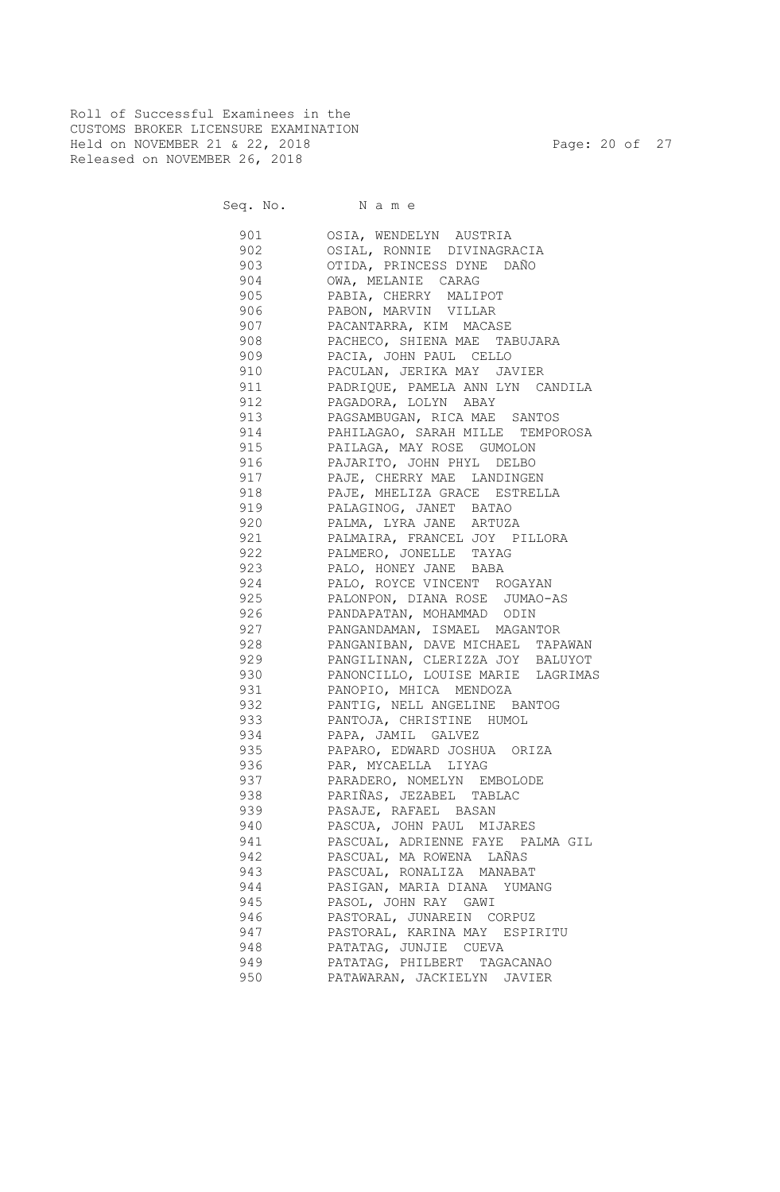Roll of Successful Examinees in the CUSTOMS BROKER LICENSURE EXAMINATION Held on NOVEMBER 21 & 22, 2018 Page: 20 of 27 Released on NOVEMBER 26, 2018

| 901      | OSIA, WENDELYN AUSTRIA            |
|----------|-----------------------------------|
| 902 000  | OSIAL, RONNIE DIVINAGRACIA        |
| 903 200  | OTIDA, PRINCESS DYNE DAÑO         |
| 904      | OWA, MELANIE CARAG                |
|          | 905 PABIA, CHERRY MALIPOT         |
| 906      | PABON, MARVIN VILLAR              |
| 907      | PACANTARRA, KIM MACASE            |
| 908      | PACHECO, SHIENA MAE TABUJARA      |
| 909      | PACIA, JOHN PAUL CELLO            |
|          | 910 PACULAN, JERIKA MAY JAVIER    |
| 911      | PADRIQUE, PAMELA ANN LYN CANDILA  |
| 912      | PAGADORA, LOLYN ABAY              |
| 913      | PAGSAMBUGAN, RICA MAE SANTOS      |
| 914      | PAHILAGAO, SARAH MILLE TEMPOROSA  |
| 915      | PAILAGA, MAY ROSE GUMOLON         |
| 916      | PAJARITO, JOHN PHYL DELBO         |
| 917      | PAJE, CHERRY MAE LANDINGEN        |
| 918      | PAJE, MHELIZA GRACE ESTRELLA      |
| 919      | PALAGINOG, JANET BATAO            |
| 920      | PALMA, LYRA JANE ARTUZA           |
| 921      | PALMAIRA, FRANCEL JOY PILLORA     |
| 922      | PALMERO, JONELLE TAYAG            |
| 923      | PALO, HONEY JANE BABA             |
| 924      | PALO, ROYCE VINCENT ROGAYAN       |
| 925      | PALONPON, DIANA ROSE JUMAO-AS     |
| 926      | PANDAPATAN, MOHAMMAD ODIN         |
| 927      | PANGANDAMAN, ISMAEL MAGANTOR      |
| 928      | PANGANIBAN, DAVE MICHAEL TAPAWAN  |
| 929      | PANGILINAN, CLERIZZA JOY BALUYOT  |
| 930      | PANONCILLO, LOUISE MARIE LAGRIMAS |
| 931      | PANOPIO, MHICA MENDOZA            |
| 932      | PANTIG, NELL ANGELINE BANTOG      |
|          | 933 PANTOJA, CHRISTINE HUMOL      |
|          | 934 PAPA, JAMIL GALVEZ            |
| 935      | PAPARO, EDWARD JOSHUA ORIZA       |
|          | 936 PAR, MYCAELLA LIYAG           |
|          | 937 PARADERO, NOMELYN EMBOLODE    |
| 938 33   | PARIÑAS, JEZABEL TABLAC           |
| 939      | PASAJE, RAFAEL BASAN              |
| 940      | PASCUA, JOHN PAUL MIJARES         |
| 941      | PASCUAL, ADRIENNE FAYE PALMA GIL  |
| 942      | PASCUAL, MA ROWENA LAÑAS          |
| 943      | PASCUAL, RONALIZA MANABAT         |
| 944      | PASIGAN, MARIA DIANA YUMANG       |
| 945      | PASOL, JOHN RAY GAWI              |
| 946 — 10 | PASTORAL, JUNAREIN CORPUZ         |
| 947 — 10 | PASTORAL, KARINA MAY ESPIRITU     |
| 948      | PATATAG, JUNJIE CUEVA             |
| 949      | PATATAG, PHILBERT TAGACANAO       |
| 950      | PATAWARAN, JACKIELYN JAVIER       |
|          |                                   |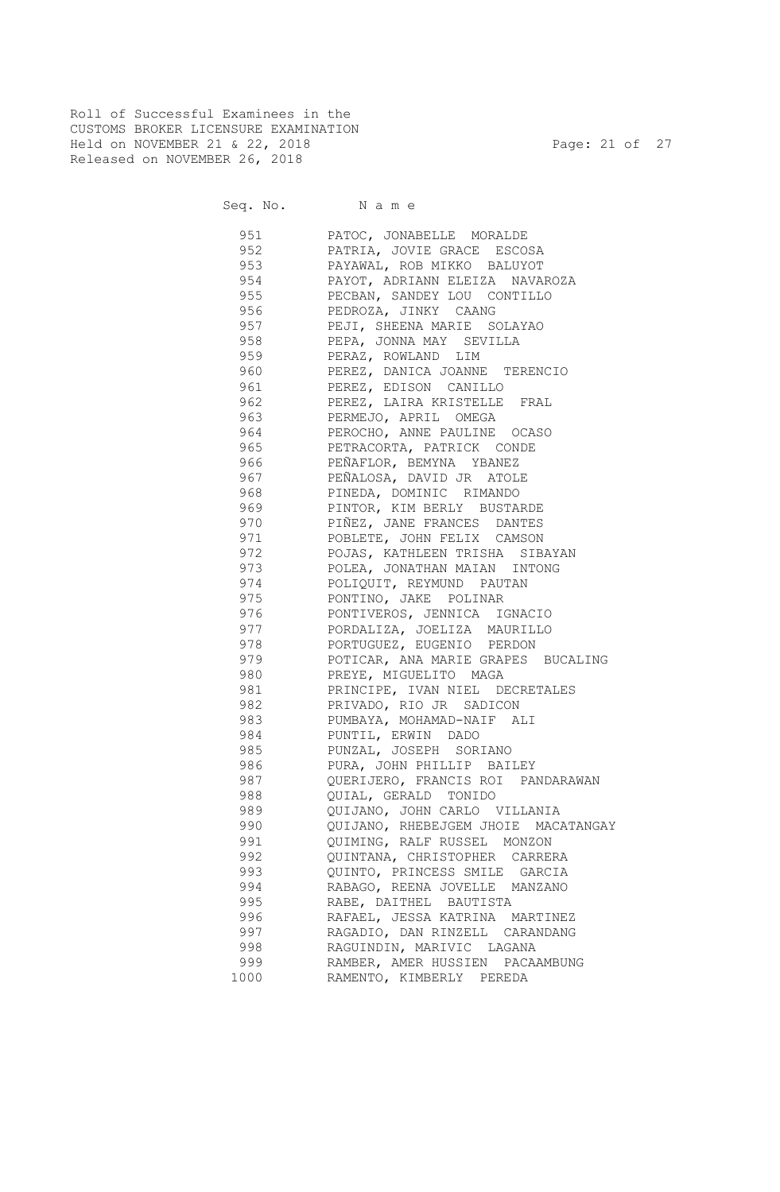Roll of Successful Examinees in the CUSTOMS BROKER LICENSURE EXAMINATION Held on NOVEMBER 21 & 22, 2018 Page: 21 of 27 Released on NOVEMBER 26, 2018

| 951  | PATOC, JONABELLE MORALDE                             |
|------|------------------------------------------------------|
| 952  | PATRIA, JOVIE GRACE ESCOSA                           |
| 953  | PAYAWAL, ROB MIKKO BALUYOT                           |
| 954  | PAYOT, ADRIANN ELEIZA NAVAROZA                       |
| 955  | PECBAN, SANDEY LOU CONTILLO                          |
| 956  | PEDROZA, JINKY CAANG                                 |
| 957  | PEJI, SHEENA MARIE SOLAYAO                           |
| 958  | PEPA, JONNA MAY SEVILLA                              |
| 959  | PERAZ, ROWLAND LIM                                   |
| 960  | PEREZ, DANICA JOANNE TERENCIO                        |
| 961  | PEREZ, EDISON CANILLO                                |
| 962  | PEREZ, LAIRA KRISTELLE FRAL                          |
| 963  | PERMEJO, APRIL OMEGA                                 |
| 964  | PEROCHO, ANNE PAULINE OCASO                          |
| 965  |                                                      |
| 966  | PETRACORTA, PATRICK CONDE<br>PEÑAFLOR, BEMYNA YBANEZ |
|      | PEÑALOSA, DAVID JR ATOLE                             |
| 967  |                                                      |
| 968  | PINEDA, DOMINIC RIMANDO                              |
| 969  | PINTOR, KIM BERLY BUSTARDE                           |
| 970  | PIÑEZ, JANE FRANCES DANTES                           |
| 971  | POBLETE, JOHN FELIX CAMSON                           |
| 972  | POJAS, KATHLEEN TRISHA SIBAYAN                       |
| 973  | POLEA, JONATHAN MAIAN INTONG                         |
| 974  | POLIQUIT, REYMUND PAUTAN                             |
| 975  | PONTINO, JAKE POLINAR                                |
| 976  | PONTIVEROS, JENNICA IGNACIO                          |
| 977  | PORDALIZA, JOELIZA MAURILLO                          |
| 978  | PORTUGUEZ, EUGENIO PERDON                            |
| 979  | POTICAR, ANA MARIE GRAPES BUCALING                   |
| 980  | PREYE, MIGUELITO MAGA                                |
| 981  | PRINCIPE, IVAN NIEL DECRETALES                       |
| 982  | PRIVADO, RIO JR SADICON                              |
| 983  | PUMBAYA, MOHAMAD-NAIF ALI                            |
| 984  | PUNTIL, ERWIN DADO                                   |
| 985  | PUNZAL, JOSEPH SORIANO                               |
| 986  | PURA, JOHN PHILLIP BAILEY                            |
| 987  | QUERIJERO, FRANCIS ROI PANDARAWAN                    |
| 988  | QUIAL, GERALD TONIDO                                 |
| 989  | QUIJANO, JOHN CARLO VILLANIA                         |
| 990  | QUIJANO, RHEBEJGEM JHOIE MACATANGAY                  |
| 991  | QUIMING, RALF RUSSEL MONZON                          |
| 992  | QUINTANA, CHRISTOPHER CARRERA                        |
| 993  | QUINTO, PRINCESS SMILE GARCIA                        |
| 994  | RABAGO, REENA JOVELLE MANZANO                        |
| 995  | RABE, DAITHEL BAUTISTA                               |
| 996  | RAFAEL, JESSA KATRINA MARTINEZ                       |
| 997  | RAGADIO, DAN RINZELL CARANDANG                       |
| 998  | RAGUINDIN, MARIVIC LAGANA                            |
| 999  | RAMBER, AMER HUSSIEN PACAAMBUNG                      |
| 1000 | RAMENTO, KIMBERLY PEREDA                             |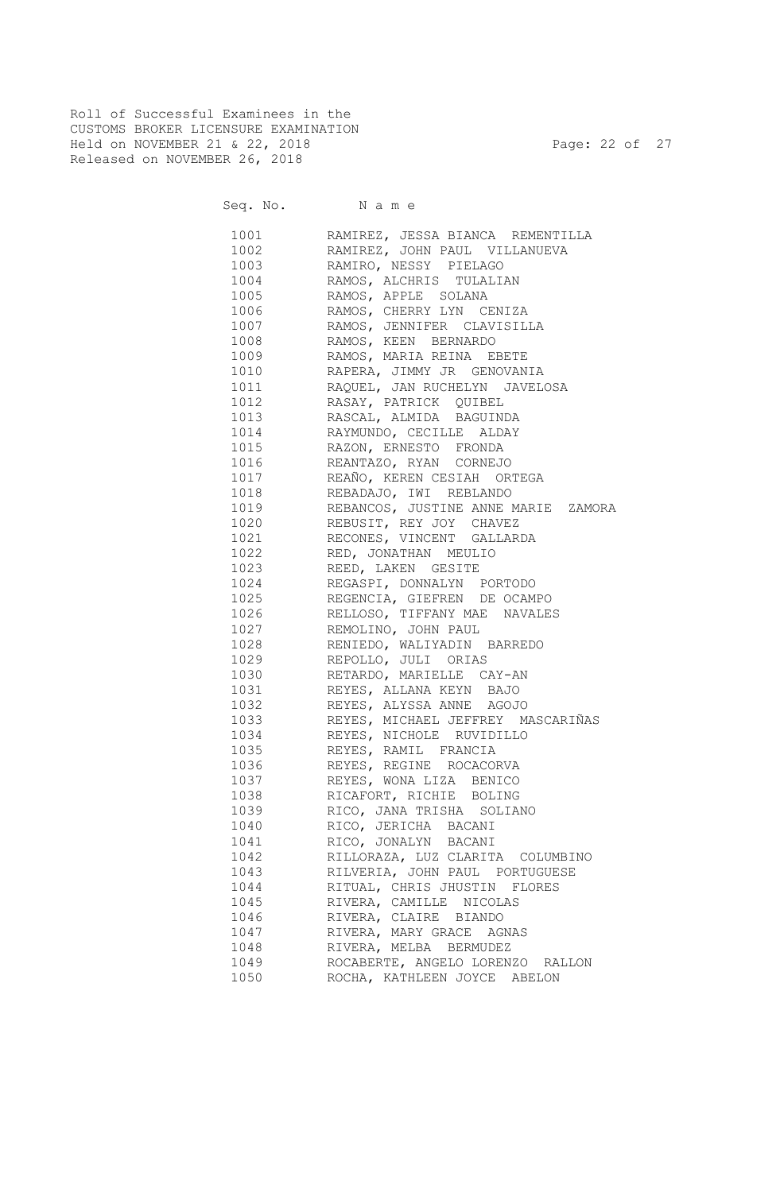Roll of Successful Examinees in the CUSTOMS BROKER LICENSURE EXAMINATION Held on NOVEMBER 21 & 22, 2018 Page: 22 of 27 Released on NOVEMBER 26, 2018

|              | 1001 RAMIREZ, JESSA BIANCA REMENTILLA                                          |
|--------------|--------------------------------------------------------------------------------|
|              | 1002 RAMIREZ, JOHN PAUL VILLANUEVA                                             |
|              | 1003 RAMIRO, NESSY PIELAGO                                                     |
|              | 1004 RAMOS, ALCHRIS TULALIAN                                                   |
|              | 1005 RAMOS, APPLE SOLANA                                                       |
|              | 1006 RAMOS, CHERRY LYN CENIZA                                                  |
|              | 1007 RAMOS, JENNIFER CLAVISILLA                                                |
|              | 1008 RAMOS, KEEN BERNARDO                                                      |
|              | 1009 RAMOS, MARIA REINA EBETE                                                  |
|              | 1010 RAPERA, JIMMY JR GENOVANIA                                                |
|              | 1011 RAQUEL, JAN RUCHELYN JAVELOSA                                             |
|              | 1012 RASAY, PATRICK QUIBEL                                                     |
|              | 1013 RASCAL, ALMIDA BAGUINDA                                                   |
|              | 1014 RAYMUNDO, CECILLE ALDAY                                                   |
|              | 1015 RAZON, ERNESTO FRONDA                                                     |
|              | 1016 REANTAZO, RYAN CORNEJO                                                    |
|              | 1017 REAÑO, KEREN CESIAH ORTEGA                                                |
| 1018         | REBADAJO, IWI REBLANDO                                                         |
| 1019         | REBANCOS, JUSTINE ANNE MARIE ZAMORA                                            |
| 1020         | REBUSIT, REY JOY CHAVEZ                                                        |
| 1021         | RECONES, VINCENT GALLARDA                                                      |
| 1022         | RED, JONATHAN MEULIO                                                           |
| 1023         | REED, LAKEN GESITE                                                             |
| 1024         | REGASPI, DONNALYN PORTODO                                                      |
| 1025         | REGENCIA, GIEFREN DE OCAMPO                                                    |
| 1026         | RELLOSO, TIFFANY MAE NAVALES                                                   |
| 1027         | REMOLINO, JOHN PAUL                                                            |
| 1028         | RENIEDO, WALIYADIN BARREDO                                                     |
| 1029         |                                                                                |
|              | REPOLLO, JULI ORIAS                                                            |
| 1030<br>1031 | RETARDO, MARIELLE CAY-AN                                                       |
|              | REYES, ALLANA KEYN BAJO<br>REYES, ALLANA KEYN BAJO<br>REYES, ALYSSA ANNE AGOJO |
| 1032         |                                                                                |
| 1033         | ------,<br>REYES, MICHAEL JEFFREY MASCARIÑAS                                   |
| 1034         | REYES, NICHOLE RUVIDILLO                                                       |
| 1035         | REYES, RAMIL FRANCIA<br>REYES, REGINE ROCACORVA                                |
| 1036         |                                                                                |
| 1037         | REYES, WONA LIZA BENICO                                                        |
|              | 1038 RICAFORT, RICHIE BOLING                                                   |
| 1039         | RICO, JANA TRISHA SOLIANO                                                      |
| 1040         | RICO, JERICHA BACANI                                                           |
| 1041         | RICO, JONALYN BACANI                                                           |
| 1042         | RILLORAZA, LUZ CLARITA COLUMBINO                                               |
| 1043         | RILVERIA, JOHN PAUL PORTUGUESE                                                 |
| 1044         | RITUAL, CHRIS JHUSTIN FLORES                                                   |
| 1045         | RIVERA, CAMILLE NICOLAS                                                        |
| 1046         | RIVERA, CLAIRE BIANDO                                                          |
| 1047         | RIVERA, MARY GRACE AGNAS                                                       |
| 1048         | RIVERA, MELBA BERMUDEZ                                                         |
| 1049         | ROCABERTE, ANGELO LORENZO RALLON                                               |
| 1050         | ROCHA, KATHLEEN JOYCE ABELON                                                   |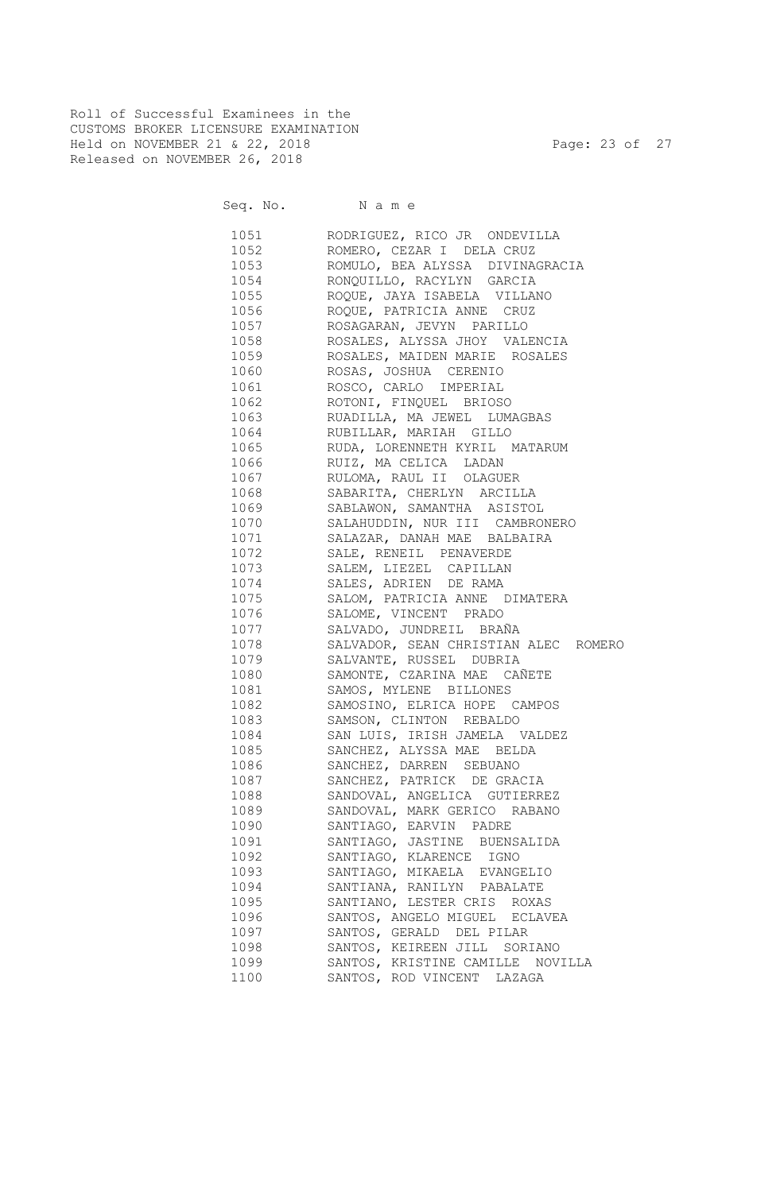Roll of Successful Examinees in the CUSTOMS BROKER LICENSURE EXAMINATION Held on NOVEMBER 21 & 22, 2018 Page: 23 of 27 Released on NOVEMBER 26, 2018

Seq. No. Name

 1051 RODRIGUEZ, RICO JR ONDEVILLA 1052 ROMERO, CEZAR I DELA CRUZ 1053 ROMULO, BEA ALYSSA DIVINAGRACIA 1054 RONQUILLO, RACYLYN GARCIA 1055 ROQUE, JAYA ISABELA VILLANO 1056 ROQUE, PATRICIA ANNE CRUZ 1057 ROSAGARAN, JEVYN PARILLO 1058 ROSALES, ALYSSA JHOY VALENCIA 1059 ROSALES, MAIDEN MARIE ROSALES 1060 ROSAS, JOSHUA CERENIO 1061 ROSCO, CARLO IMPERIAL 1062 ROTONI, FINQUEL BRIOSO 1063 RUADILLA, MA JEWEL LUMAGBAS 1064 RUBILLAR, MARIAH GILLO 1065 RUDA, LORENNETH KYRIL MATARUM 1066 RUIZ, MA CELICA LADAN 1067 RULOMA, RAUL II OLAGUER 1068 SABARITA, CHERLYN ARCILLA 1069 SABLAWON, SAMANTHA ASISTOL 1070 SALAHUDDIN, NUR III CAMBRONERO 1071 SALAZAR, DANAH MAE BALBAIRA 1072 SALE, RENEIL PENAVERDE 1073 SALEM, LIEZEL CAPILLAN 1074 SALES, ADRIEN DE RAMA 1075 SALOM, PATRICIA ANNE DIMATERA 1076 SALOME, VINCENT PRADO 1077 SALVADO, JUNDREIL BRAÑA 1078 SALVADOR, SEAN CHRISTIAN ALEC ROMERO 1079 SALVANTE, RUSSEL DUBRIA 1080 SAMONTE, CZARINA MAE CAÑETE 1081 SAMOS, MYLENE BILLONES 1082 SAMOSINO, ELRICA HOPE CAMPOS 1083 SAMSON, CLINTON REBALDO 1084 SAN LUIS, IRISH JAMELA VALDEZ 1085 SANCHEZ, ALYSSA MAE BELDA 1086 SANCHEZ, DARREN SEBUANO 1087 SANCHEZ, PATRICK DE GRACIA 1088 SANDOVAL, ANGELICA GUTIERREZ 1089 SANDOVAL, MARK GERICO RABANO 1090 SANTIAGO, EARVIN PADRE 1091 SANTIAGO, JASTINE BUENSALIDA 1092 SANTIAGO, KLARENCE IGNO 1093 SANTIAGO, MIKAELA EVANGELIO 1094 SANTIANA, RANILYN PABALATE 1095 SANTIANO, LESTER CRIS ROXAS 1096 SANTOS, ANGELO MIGUEL ECLAVEA 1097 SANTOS, GERALD DEL PILAR 1098 SANTOS, KEIREEN JILL SORIANO 1099 SANTOS, KRISTINE CAMILLE NOVILLA 1100 SANTOS, ROD VINCENT LAZAGA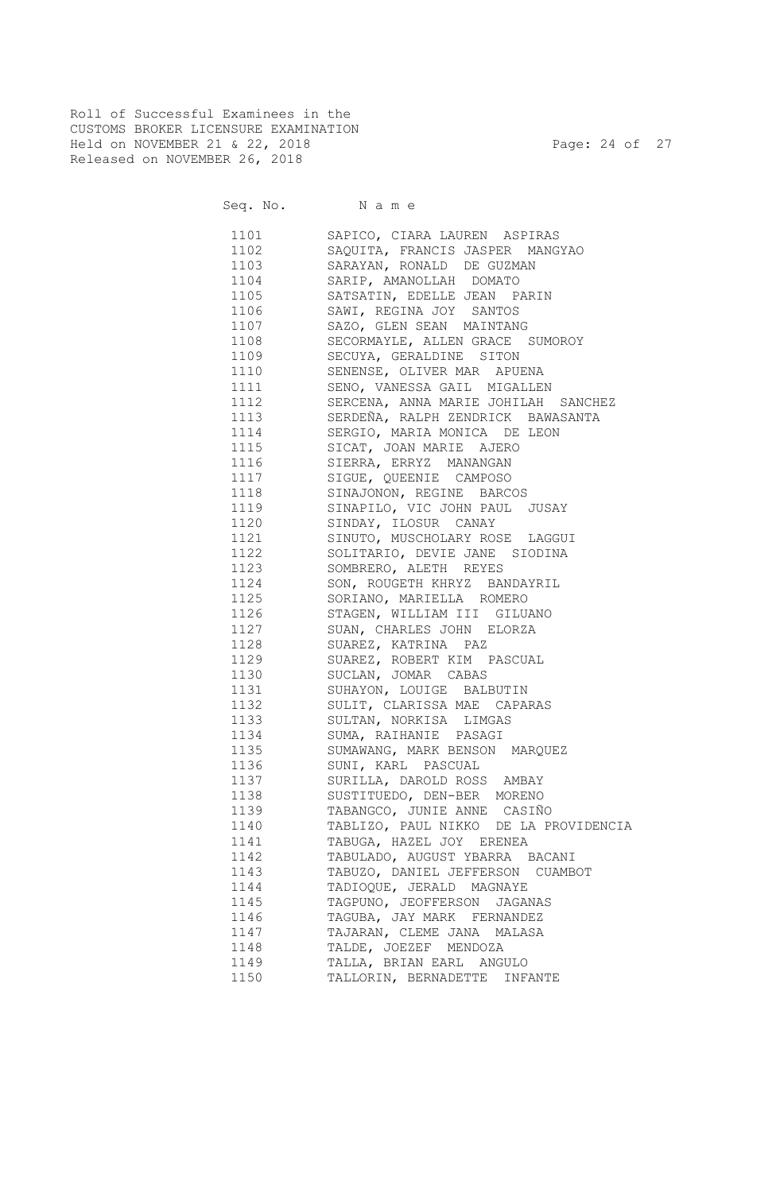Roll of Successful Examinees in the CUSTOMS BROKER LICENSURE EXAMINATION Held on NOVEMBER 21 & 22, 2018 Page: 24 of 27 Released on NOVEMBER 26, 2018

| 1101 | SAPICO, CIARA LAUREN ASPIRAS          |
|------|---------------------------------------|
| 1102 | SAQUITA, FRANCIS JASPER MANGYAO       |
| 1103 | SARAYAN, RONALD DE GUZMAN             |
| 1104 | SARIP, AMANOLLAH DOMATO               |
| 1105 | SATSATIN, EDELLE JEAN PARIN           |
| 1106 | SAWI, REGINA JOY SANTOS               |
| 1107 |                                       |
|      | SAZO, GLEN SEAN MAINTANG              |
| 1108 | SECORMAYLE, ALLEN GRACE SUMOROY       |
| 1109 | SECUYA, GERALDINE SITON               |
| 1110 | SENENSE, OLIVER MAR APUENA            |
| 1111 | SENO, VANESSA GAIL MIGALLEN           |
| 1112 | SERCENA, ANNA MARIE JOHILAH SANCHEZ   |
| 1113 | SERDEÑA, RALPH ZENDRICK BAWASANTA     |
| 1114 | SERGIO, MARIA MONICA DE LEON          |
| 1115 | SICAT, JOAN MARIE AJERO               |
| 1116 | SIERRA, ERRYZ MANANGAN                |
| 1117 | SIGUE, QUEENIE CAMPOSO                |
| 1118 | SINAJONON, REGINE BARCOS              |
| 1119 | SINAPILO, VIC JOHN PAUL JUSAY         |
| 1120 | SINDAY, ILOSUR CANAY                  |
| 1121 | SINUTO, MUSCHOLARY ROSE LAGGUI        |
| 1122 | SOLITARIO, DEVIE JANE SIODINA         |
| 1123 | SOMBRERO, ALETH REYES                 |
| 1124 | SON, ROUGETH KHRYZ BANDAYRIL          |
| 1125 | SORIANO, MARIELLA ROMERO              |
| 1126 | STAGEN, WILLIAM III GILUANO           |
| 1127 | SUAN, CHARLES JOHN ELORZA             |
| 1128 | SUAREZ, KATRINA PAZ                   |
| 1129 | SUAREZ, ROBERT KIM PASCUAL            |
| 1130 | SUCLAN, JOMAR CABAS                   |
| 1131 | SUHAYON, LOUIGE BALBUTIN              |
| 1132 | SULIT, CLARISSA MAE CAPARAS           |
| 1133 | SULTAN, NORKISA LIMGAS                |
| 1134 | SUMA, RAIHANIE PASAGI                 |
| 1135 | SUMAWANG, MARK BENSON MARQUEZ         |
| 1136 | SUNI, KARL PASCUAL                    |
| 1137 | SURILLA, DAROLD ROSS AMBAY            |
| 1138 | SUSTITUEDO, DEN-BER MORENO            |
| 1139 | TABANGCO, JUNIE ANNE CASIÑO           |
| 1140 | TABLIZO, PAUL NIKKO DE LA PROVIDENCIA |
| 1141 | TABUGA, HAZEL JOY ERENEA              |
| 1142 | TABULADO, AUGUST YBARRA BACANI        |
| 1143 | TABUZO, DANIEL JEFFERSON CUAMBOT      |
| 1144 | TADIOQUE, JERALD MAGNAYE              |
| 1145 | TAGPUNO, JEOFFERSON JAGANAS           |
| 1146 | TAGUBA, JAY MARK FERNANDEZ            |
| 1147 | TAJARAN, CLEME JANA MALASA            |
| 1148 | TALDE, JOEZEF MENDOZA                 |
| 1149 | TALLA, BRIAN EARL ANGULO              |
| 1150 | TALLORIN, BERNADETTE<br>INFANTE       |
|      |                                       |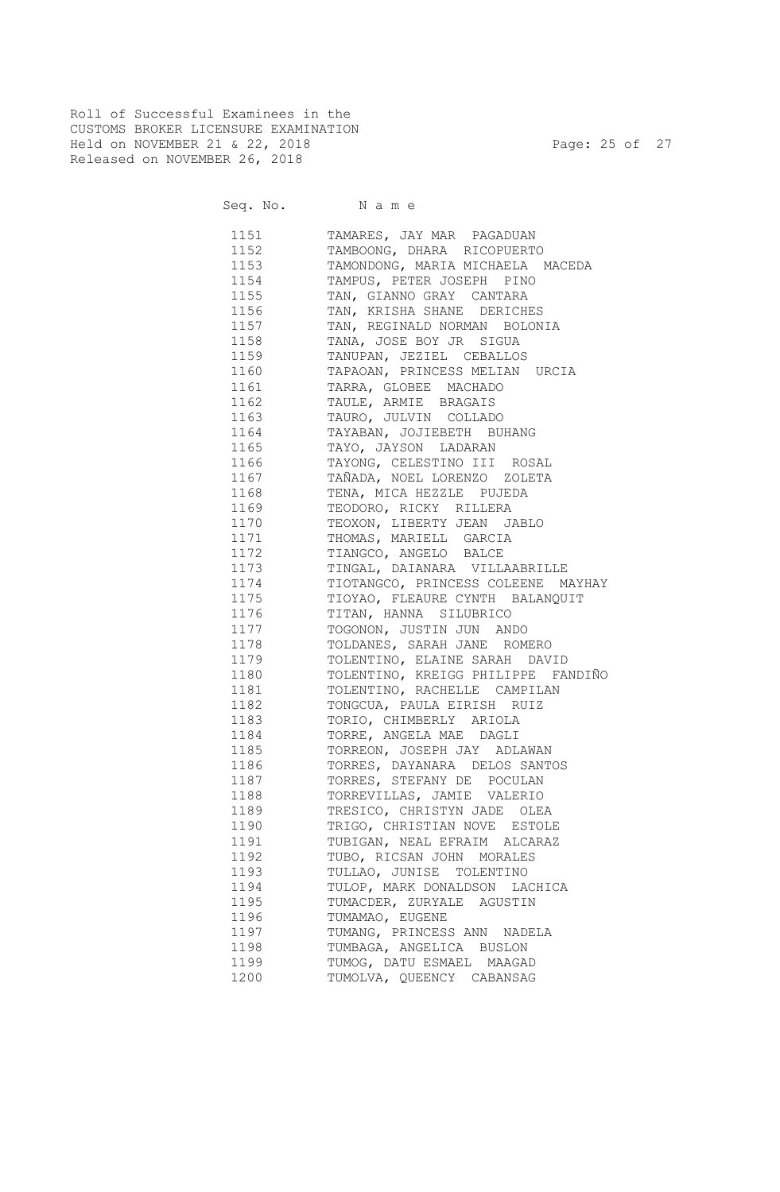Roll of Successful Examinees in the CUSTOMS BROKER LICENSURE EXAMINATION Held on NOVEMBER 21 & 22, 2018 Page: 25 of 27 Released on NOVEMBER 26, 2018

| 1151 | TAMARES, JAY MAR PAGADUAN          |
|------|------------------------------------|
| 1152 | TAMBOONG, DHARA RICOPUERTO         |
| 1153 | TAMONDONG, MARIA MICHAELA MACEDA   |
| 1154 | TAMPUS, PETER JOSEPH PINO          |
| 1155 | TAN, GIANNO GRAY CANTARA           |
| 1156 | TAN, KRISHA SHANE DERICHES         |
| 1157 | TAN, REGINALD NORMAN BOLONIA       |
| 1158 | TANA, JOSE BOY JR SIGUA            |
| 1159 | TANUPAN, JEZIEL CEBALLOS           |
| 1160 | TAPAOAN, PRINCESS MELIAN URCIA     |
| 1161 | TARRA, GLOBEE MACHADO              |
| 1162 | TAULE, ARMIE BRAGAIS               |
| 1163 | TAURO, JULVIN COLLADO              |
| 1164 | TAYABAN, JOJIEBETH BUHANG          |
|      |                                    |
| 1165 | TAYO, JAYSON LADARAN               |
| 1166 | TAYONG, CELESTINO III ROSAL        |
| 1167 | TAÑADA, NOEL LORENZO ZOLETA        |
| 1168 | TENA, MICA HEZZLE PUJEDA           |
| 1169 | TEODORO, RICKY RILLERA             |
| 1170 | TEOXON, LIBERTY JEAN JABLO         |
| 1171 | THOMAS, MARIELL GARCIA             |
| 1172 | TIANGCO, ANGELO BALCE              |
| 1173 | TINGAL, DAIANARA VILLAABRILLE      |
| 1174 | TIOTANGCO, PRINCESS COLEENE MAYHAY |
| 1175 | TIOYAO, FLEAURE CYNTH BALANQUIT    |
| 1176 | TITAN, HANNA SILUBRICO             |
| 1177 | TOGONON, JUSTIN JUN ANDO           |
| 1178 | TOLDANES, SARAH JANE ROMERO        |
| 1179 | TOLENTINO, ELAINE SARAH DAVID      |
| 1180 | TOLENTINO, KREIGG PHILIPPE FANDIÑO |
| 1181 | TOLENTINO, RACHELLE CAMPILAN       |
| 1182 | TONGCUA, PAULA EIRISH RUIZ         |
| 1183 | TORIO, CHIMBERLY ARIOLA            |
| 1184 | TORRE, ANGELA MAE DAGLI            |
| 1185 | TORREON, JOSEPH JAY ADLAWAN        |
| 1186 | TORRES, DAYANARA DELOS SANTOS      |
| 1187 | TORRES, STEFANY DE POCULAN         |
| 1188 | TORREVILLAS, JAMIE VALERIO         |
| 1189 | TRESICO, CHRISTYN JADE OLEA        |
| 1190 | TRIGO, CHRISTIAN NOVE ESTOLE       |
| 1191 | TUBIGAN, NEAL EFRAIM ALCARAZ       |
| 1192 | TUBO, RICSAN JOHN MORALES          |
| 1193 | TULLAO, JUNISE TOLENTINO           |
| 1194 | TULOP, MARK DONALDSON LACHICA      |
| 1195 | TUMACDER, ZURYALE AGUSTIN          |
| 1196 | TUMAMAO, EUGENE                    |
| 1197 | TUMANG, PRINCESS ANN NADELA        |
| 1198 | TUMBAGA, ANGELICA BUSLON           |
| 1199 | TUMOG, DATU ESMAEL MAAGAD          |
| 1200 | TUMOLVA, QUEENCY CABANSAG          |
|      |                                    |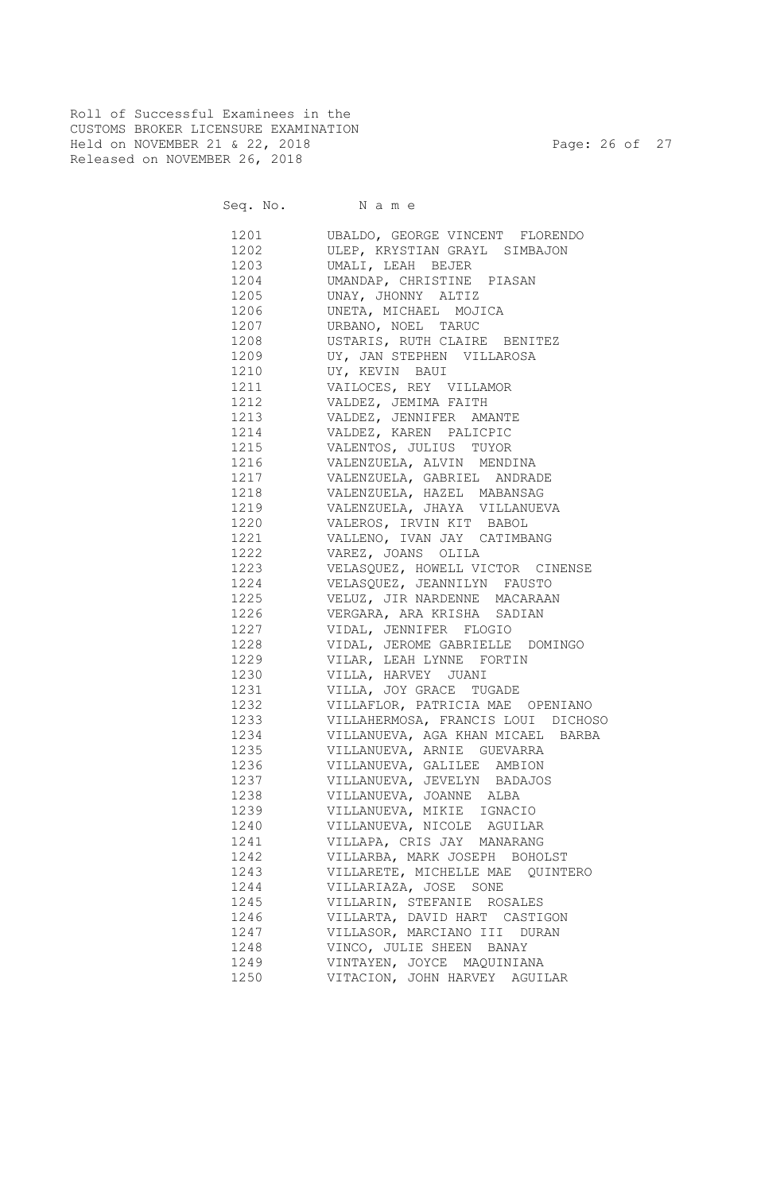Roll of Successful Examinees in the CUSTOMS BROKER LICENSURE EXAMINATION Held on NOVEMBER 21 & 22, 2018 Page: 26 of 27 Released on NOVEMBER 26, 2018

| 1201         | UBALDO, GEORGE VINCENT FLORENDO                    |
|--------------|----------------------------------------------------|
| 1202         | ULEP, KRYSTIAN GRAYL SIMBAJON                      |
| 1203         | UMALI, LEAH BEJER                                  |
| 1204         | UMANDAP, CHRISTINE PIASAN                          |
| 1205         | UNAY, JHONNY ALTIZ                                 |
| 1206         | UNETA, MICHAEL MOJICA                              |
|              |                                                    |
| 1207<br>1208 | URBANO, NOEL TARUC<br>USTARIS, RUTH CLAIRE BENITEZ |
| 1209         |                                                    |
|              | UY, JAN STEPHEN VILLAROSA                          |
| 1210         | UY, KEVIN BAUI                                     |
| 1211         | VAILOCES, REY VILLAMOR                             |
| 1212         | VALDEZ, JEMIMA FAITH                               |
| 1213         | VALDEZ, JENNIFER AMANTE                            |
| 1214         | VALDEZ, KAREN PALICPIC                             |
| 1215         | VALENTOS, JULIUS TUYOR                             |
|              | 1216 VALENZUELA, ALVIN MENDINA                     |
|              | 1217 VALENZUELA, GABRIEL ANDRADE                   |
|              | 1218 VALENZUELA, HAZEL MABANSAG                    |
|              | 1219 VALENZUELA, JHAYA VILLANUEVA                  |
|              | 1220 VALEROS, IRVIN KIT BABOL                      |
|              | 1221 VALLENO, IVAN JAY CATIMBANG                   |
| 1222         | VAREZ, JOANS OLILA                                 |
| 1223         | VELASQUEZ, HOWELL VICTOR CINENSE                   |
|              | 1224 VELASQUEZ, JEANNILYN FAUSTO                   |
|              | 1225 VELUZ, JIR NARDENNE MACARAAN                  |
|              | 1226 VERGARA, ARA KRISHA SADIAN                    |
|              | 1227 VIDAL, JENNIFER FLOGIO                        |
|              | 1228 VIDAL, JEROME GABRIELLE DOMINGO               |
|              | 1229 VILAR, LEAH LYNNE FORTIN                      |
|              | 1230 VILLA, HARVEY JUANI                           |
|              | 1231 VILLA, JOY GRACE TUGADE                       |
|              | 1232 VILLAFLOR, PATRICIA MAE OPENIANO              |
| 1233         | VILLAHERMOSA, FRANCIS LOUI DICHOSO                 |
|              | 1234 VILLANUEVA, AGA KHAN MICAEL BARBA             |
|              | 1235 VILLANUEVA, ARNIE GUEVARRA                    |
|              | 1236 VILLANUEVA, GALILEE AMBION                    |
|              | 1237 VILLANUEVA, JEVELYN BADAJOS                   |
| 1238         | VILLANUEVA, JOANNE ALBA                            |
| 1239         | VILLANUEVA, MIKIE IGNACIO                          |
| 1240         | VILLANUEVA, NICOLE AGUILAR                         |
| 1241         | VILLAPA, CRIS JAY MANARANG                         |
| 1242         | VILLARBA, MARK JOSEPH BOHOLST                      |
| 1243         | VILLARETE, MICHELLE MAE OUINTERO                   |
| 1244         | VILLARIAZA, JOSE SONE                              |
| 1245         | VILLARIN, STEFANIE ROSALES                         |
| 1246         | VILLARTA, DAVID HART CASTIGON                      |
|              |                                                    |
| 1247         | VILLASOR, MARCIANO III DURAN                       |
| 1248         | VINCO, JULIE SHEEN BANAY                           |
| 1249         | VINTAYEN, JOYCE MAQUINIANA                         |
| 1250         | VITACION, JOHN HARVEY AGUILAR                      |